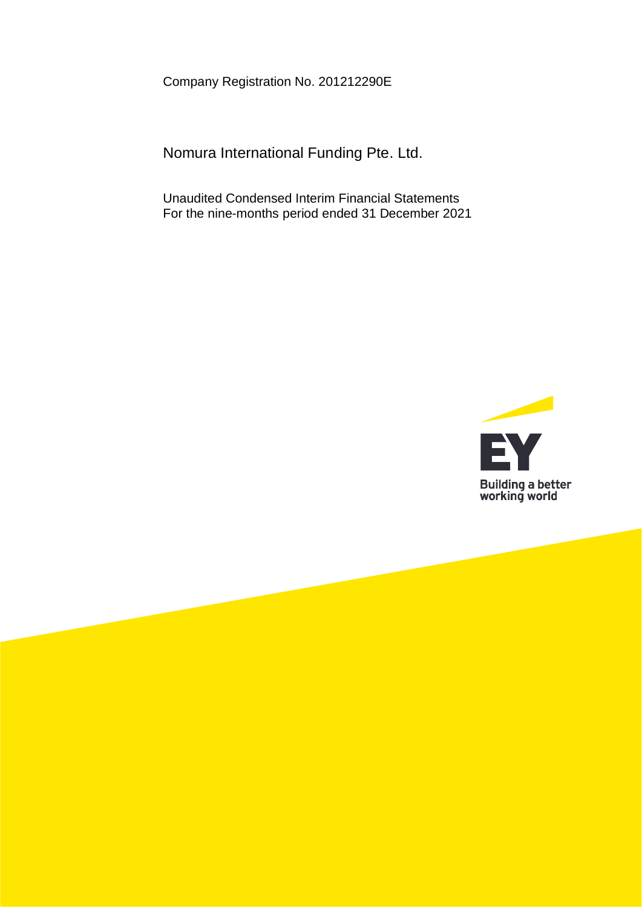Company Registration No. 201212290E

Nomura International Funding Pte. Ltd.

Unaudited Condensed Interim Financial Statements For the nine-months period ended 31 December 2021

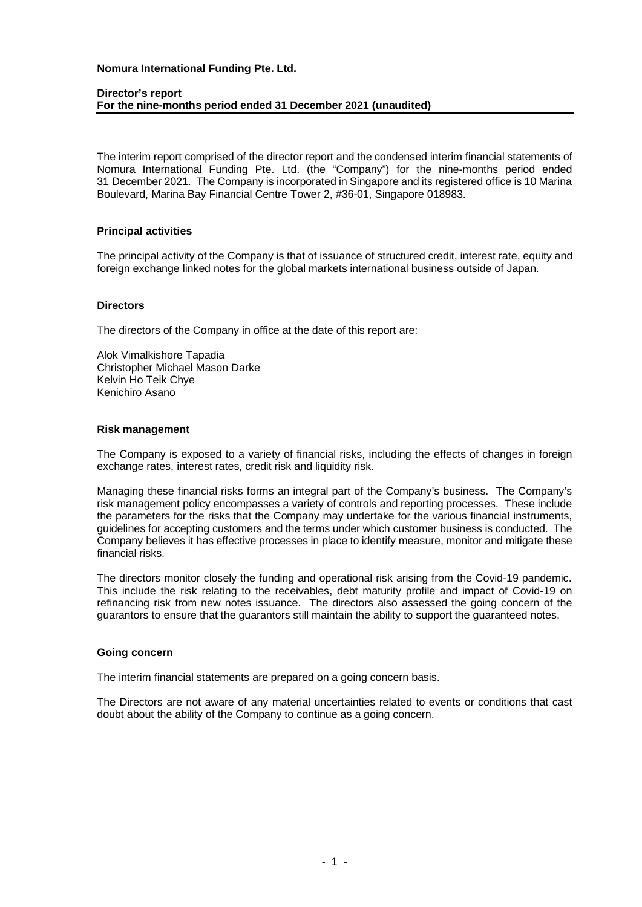#### **Director's report For the nine-months period ended 31 December 2021 (unaudited)**

The interim report comprised of the director report and the condensed interim financial statements of Nomura International Funding Pte. Ltd. (the "Company") for the nine-months period ended 31 December 2021. The Company is incorporated in Singapore and its registered office is 10 Marina Boulevard, Marina Bay Financial Centre Tower 2, #36-01, Singapore 018983.

#### **Principal activities**

The principal activity of the Company is that of issuance of structured credit, interest rate, equity and foreign exchange linked notes for the global markets international business outside of Japan.

## **Directors**

The directors of the Company in office at the date of this report are:

Alok Vimalkishore Tapadia Christopher Michael Mason Darke Kelvin Ho Teik Chye Kenichiro Asano

# **Risk management**

The Company is exposed to a variety of financial risks, including the effects of changes in foreign exchange rates, interest rates, credit risk and liquidity risk.

Managing these financial risks forms an integral part of the Company's business. The Company's risk management policy encompasses a variety of controls and reporting processes. These include the parameters for the risks that the Company may undertake for the various financial instruments, guidelines for accepting customers and the terms under which customer business is conducted. The Company believes it has effective processes in place to identify measure, monitor and mitigate these financial risks.

The directors monitor closely the funding and operational risk arising from the Covid-19 pandemic. This include the risk relating to the receivables, debt maturity profile and impact of Covid-19 on refinancing risk from new notes issuance. The directors also assessed the going concern of the guarantors to ensure that the guarantors still maintain the ability to support the guaranteed notes.

#### **Going concern**

The interim financial statements are prepared on a going concern basis.

The Directors are not aware of any material uncertainties related to events or conditions that cast doubt about the ability of the Company to continue as a going concern.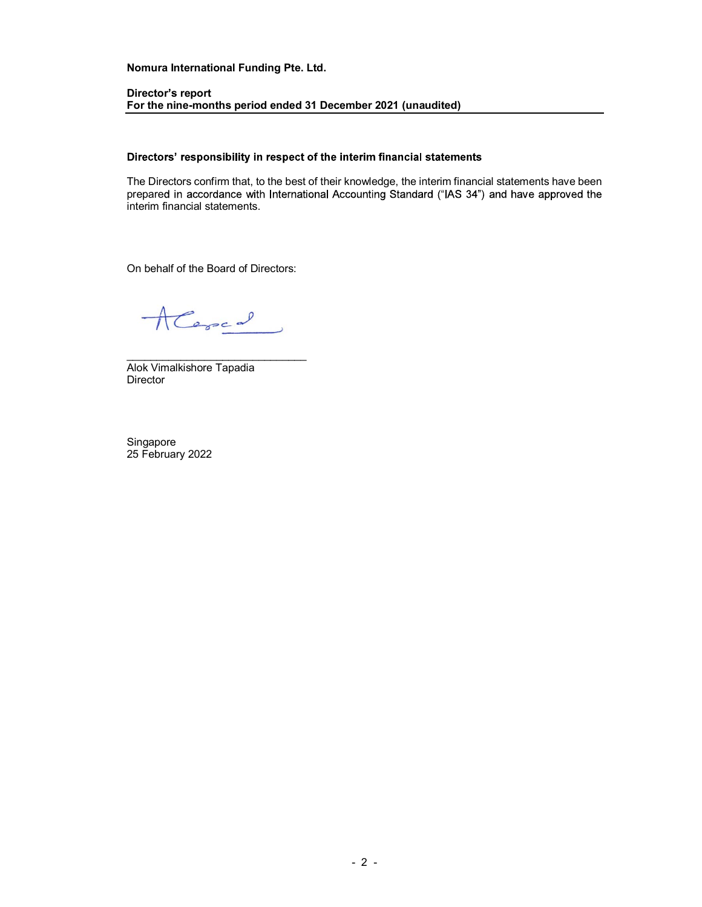#### Director's report For the nine-months period ended 31 December 2021 (unaudited)

#### Directors' responsibility in respect of the interim financial statements

The Directors confirm that, to the best of their knowledge, the interim financial statements have been prepared in accordance with International Accounting Standard ("IAS 34") and have approved the interim financial statements.

On behalf of the Board of Directors:<br> $\sqrt{\frac{1}{\sqrt{1-\frac{1}{\sqrt{1-\frac{1}{\sqrt{1-\frac{1}{\sqrt{1-\frac{1}{\sqrt{1-\frac{1}{\sqrt{1-\frac{1}{\sqrt{1-\frac{1}{\sqrt{1-\frac{1}{\sqrt{1-\frac{1}{\sqrt{1-\frac{1}{\sqrt{1-\frac{1}{\sqrt{1-\frac{1}{\sqrt{1-\frac{1}{\sqrt{1-\frac{1}{\sqrt{1-\frac{1}{\sqrt{1-\frac{1}{\sqrt{1-\frac{1}{\sqrt{1-\frac{1}{\sqrt{1-\frac{1}{\sqrt{1-\$ 

Director

Singapore 25 February 2022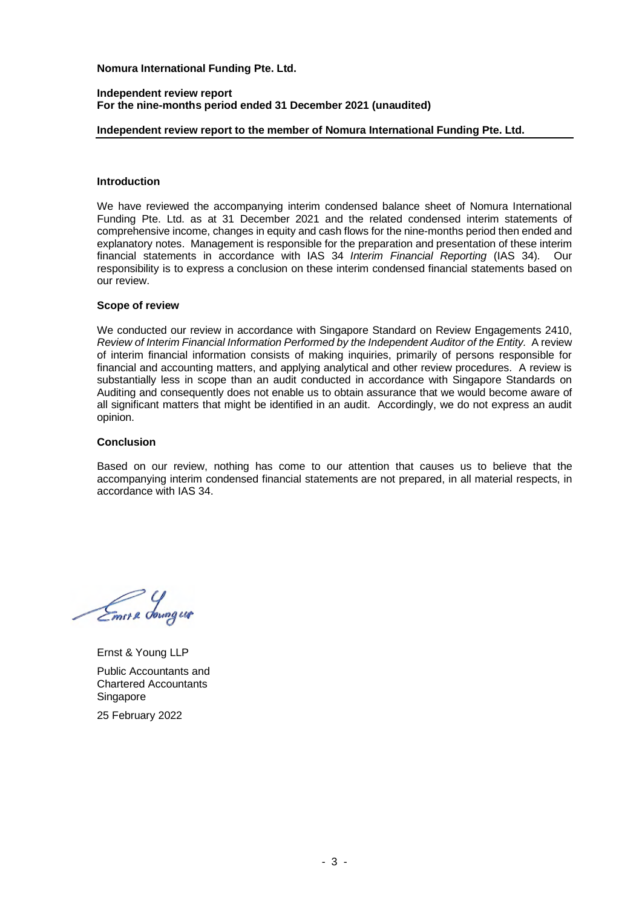#### **Independent review report For the nine-months period ended 31 December 2021 (unaudited)**

## **Independent review report to the member of Nomura International Funding Pte. Ltd.**

## **Introduction**

We have reviewed the accompanying interim condensed balance sheet of Nomura International Funding Pte. Ltd. as at 31 December 2021 and the related condensed interim statements of comprehensive income, changes in equity and cash flows for the nine-months period then ended and explanatory notes. Management is responsible for the preparation and presentation of these interim financial statements in accordance with IAS 34 *Interim Financial Reporting* (IAS 34). Our responsibility is to express a conclusion on these interim condensed financial statements based on our review.

#### **Scope of review**

We conducted our review in accordance with Singapore Standard on Review Engagements 2410, *Review of Interim Financial Information Performed by the Independent Auditor of the Entity.* A review of interim financial information consists of making inquiries, primarily of persons responsible for financial and accounting matters, and applying analytical and other review procedures. A review is substantially less in scope than an audit conducted in accordance with Singapore Standards on Auditing and consequently does not enable us to obtain assurance that we would become aware of all significant matters that might be identified in an audit. Accordingly, we do not express an audit opinion.

### **Conclusion**

Based on our review, nothing has come to our attention that causes us to believe that the accompanying interim condensed financial statements are not prepared, in all material respects, in accordance with IAS 34.

Emer & Soungur

Ernst & Young LLP Public Accountants and Chartered Accountants Singapore 25 February 2022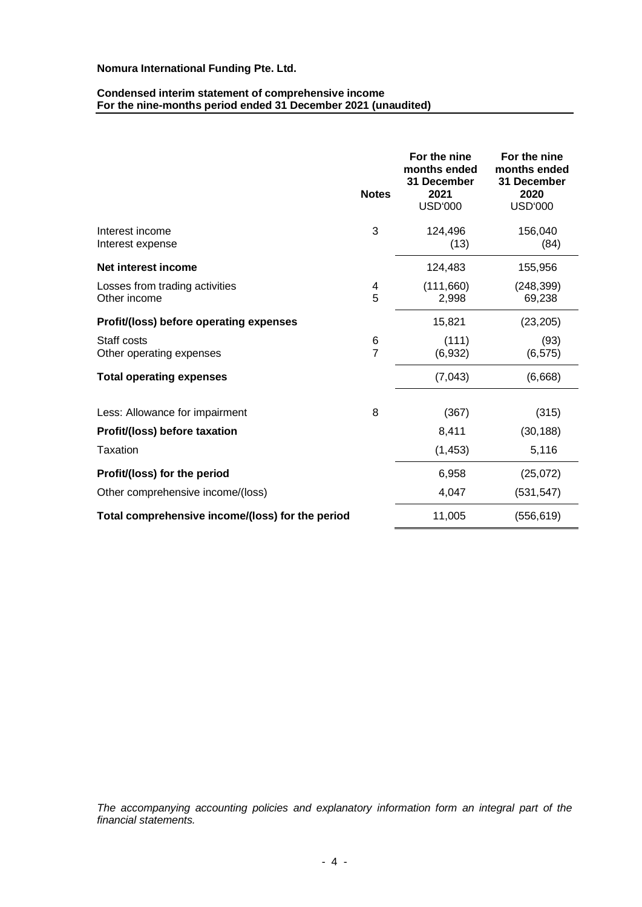#### **Condensed interim statement of comprehensive income For the nine-months period ended 31 December 2021 (unaudited)**

|                                                  | <b>Notes</b> | For the nine<br>months ended<br>31 December<br>2021<br><b>USD'000</b> | For the nine<br>months ended<br>31 December<br>2020<br><b>USD'000</b> |
|--------------------------------------------------|--------------|-----------------------------------------------------------------------|-----------------------------------------------------------------------|
| Interest income<br>Interest expense              | 3            | 124,496<br>(13)                                                       | 156,040<br>(84)                                                       |
| Net interest income                              |              | 124,483                                                               | 155,956                                                               |
| Losses from trading activities<br>Other income   | 4<br>5       | (111,660)<br>2,998                                                    | (248, 399)<br>69,238                                                  |
| Profit/(loss) before operating expenses          |              | 15,821                                                                | (23, 205)                                                             |
| Staff costs<br>Other operating expenses          | 6<br>7       | (111)<br>(6,932)                                                      | (93)<br>(6, 575)                                                      |
| <b>Total operating expenses</b>                  |              | (7,043)                                                               | (6,668)                                                               |
| Less: Allowance for impairment                   | 8            | (367)                                                                 | (315)                                                                 |
| Profit/(loss) before taxation                    |              | 8,411                                                                 | (30, 188)                                                             |
| <b>Taxation</b>                                  |              | (1, 453)                                                              | 5,116                                                                 |
| Profit/(loss) for the period                     |              | 6,958                                                                 | (25,072)                                                              |
| Other comprehensive income/(loss)                |              | 4,047                                                                 | (531, 547)                                                            |
| Total comprehensive income/(loss) for the period |              | 11,005                                                                | (556, 619)                                                            |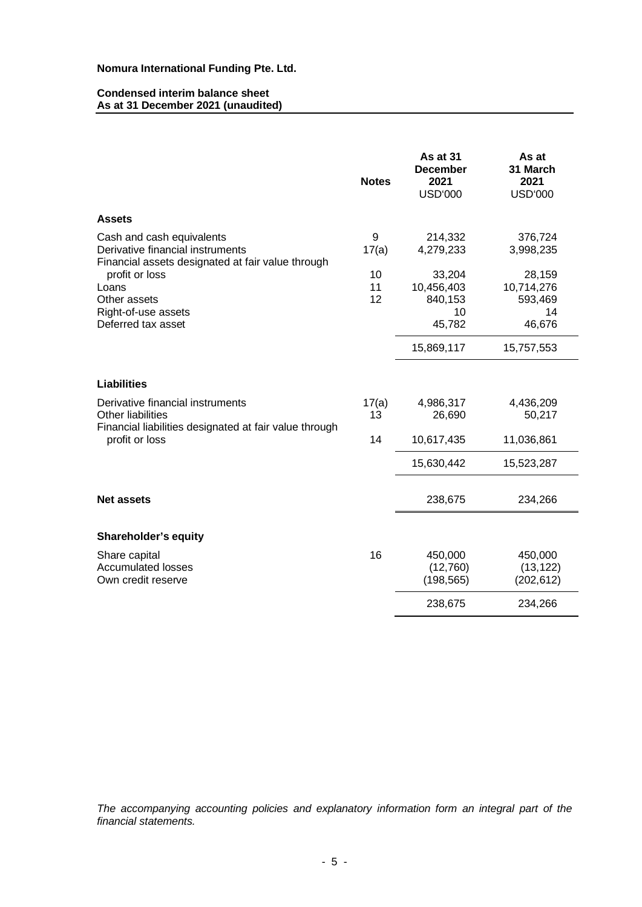## **Condensed interim balance sheet As at 31 December 2021 (unaudited)**

|                                                                                                                    | <b>Notes</b>   | <b>As at 31</b><br><b>December</b><br>2021<br><b>USD'000</b> | As at<br>31 March<br>2021<br><b>USD'000</b>     |
|--------------------------------------------------------------------------------------------------------------------|----------------|--------------------------------------------------------------|-------------------------------------------------|
| <b>Assets</b>                                                                                                      |                |                                                              |                                                 |
| Cash and cash equivalents<br>Derivative financial instruments<br>Financial assets designated at fair value through | 9<br>17(a)     | 214,332<br>4,279,233                                         | 376,724<br>3,998,235                            |
| profit or loss<br>Loans<br>Other assets<br>Right-of-use assets<br>Deferred tax asset                               | 10<br>11<br>12 | 33,204<br>10,456,403<br>840,153<br>10<br>45,782              | 28,159<br>10,714,276<br>593,469<br>14<br>46,676 |
|                                                                                                                    |                | 15,869,117                                                   | 15,757,553                                      |
| <b>Liabilities</b>                                                                                                 |                |                                                              |                                                 |
| Derivative financial instruments<br>Other liabilities<br>Financial liabilities designated at fair value through    | 17(a)<br>13    | 4,986,317<br>26,690                                          | 4,436,209<br>50,217                             |
| profit or loss                                                                                                     | 14             | 10,617,435                                                   | 11,036,861                                      |
|                                                                                                                    |                | 15,630,442                                                   | 15,523,287                                      |
| <b>Net assets</b>                                                                                                  |                | 238,675                                                      | 234,266                                         |
| Shareholder's equity                                                                                               |                |                                                              |                                                 |
| Share capital<br><b>Accumulated losses</b><br>Own credit reserve                                                   | 16             | 450,000<br>(12,760)<br>(198, 565)                            | 450,000<br>(13, 122)<br>(202, 612)              |
|                                                                                                                    |                | 238,675                                                      | 234,266                                         |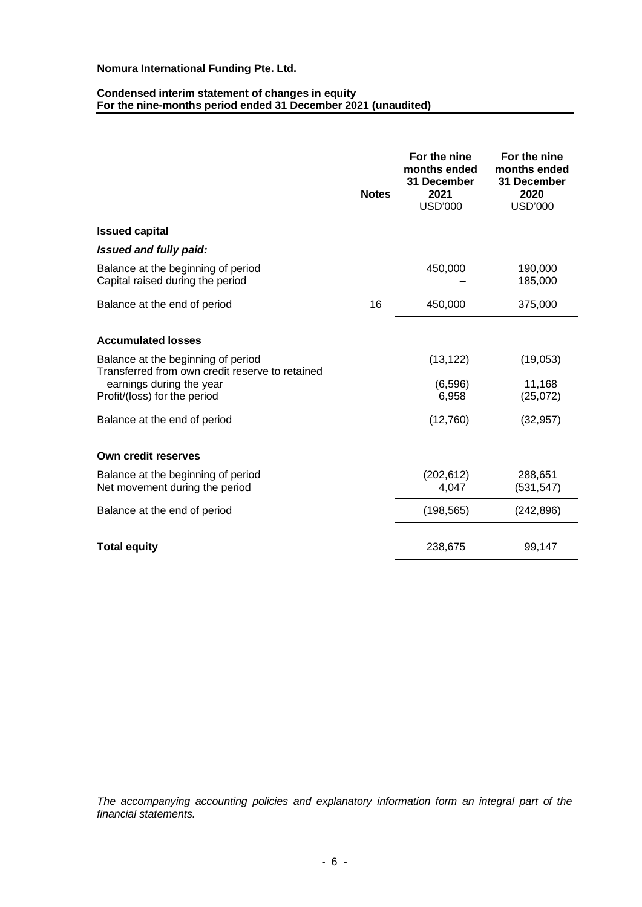#### **Condensed interim statement of changes in equity For the nine-months period ended 31 December 2021 (unaudited)**

|                                                                                                                                                   | <b>Notes</b> | For the nine<br>months ended<br>31 December<br>2021<br><b>USD'000</b> | For the nine<br>months ended<br>31 December<br>2020<br><b>USD'000</b> |
|---------------------------------------------------------------------------------------------------------------------------------------------------|--------------|-----------------------------------------------------------------------|-----------------------------------------------------------------------|
| <b>Issued capital</b>                                                                                                                             |              |                                                                       |                                                                       |
| Issued and fully paid:                                                                                                                            |              |                                                                       |                                                                       |
| Balance at the beginning of period<br>Capital raised during the period                                                                            |              | 450,000                                                               | 190,000<br>185,000                                                    |
| Balance at the end of period                                                                                                                      | 16           | 450,000                                                               | 375,000                                                               |
| <b>Accumulated losses</b>                                                                                                                         |              |                                                                       |                                                                       |
| Balance at the beginning of period<br>Transferred from own credit reserve to retained<br>earnings during the year<br>Profit/(loss) for the period |              | (13, 122)<br>(6, 596)<br>6,958                                        | (19,053)<br>11,168<br>(25,072)                                        |
| Balance at the end of period                                                                                                                      |              | (12,760)                                                              | (32, 957)                                                             |
| Own credit reserves                                                                                                                               |              |                                                                       |                                                                       |
| Balance at the beginning of period<br>Net movement during the period                                                                              |              | (202, 612)<br>4,047                                                   | 288,651<br>(531, 547)                                                 |
| Balance at the end of period                                                                                                                      |              | (198, 565)                                                            | (242, 896)                                                            |
| <b>Total equity</b>                                                                                                                               |              | 238,675                                                               | 99,147                                                                |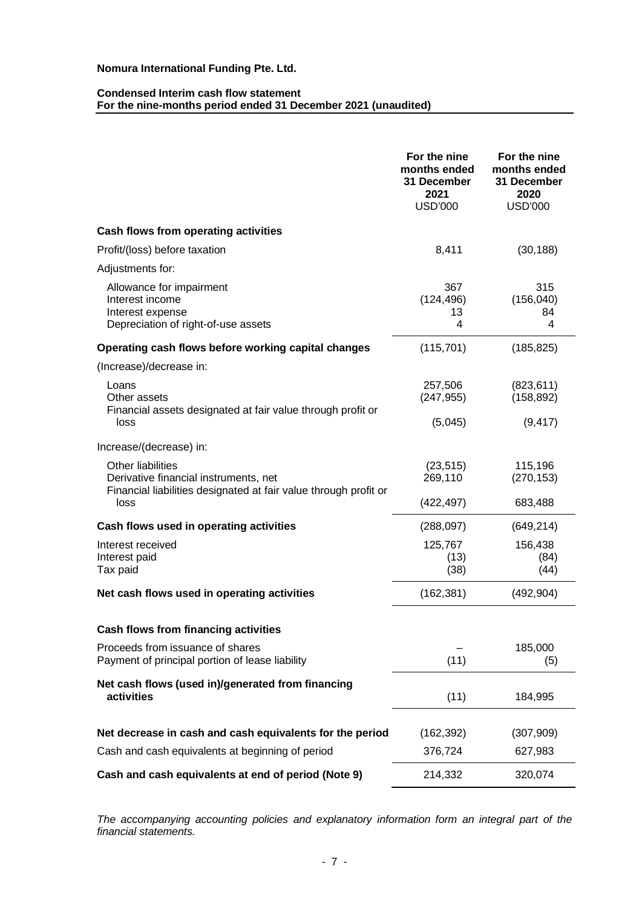### **Condensed Interim cash flow statement For the nine-months period ended 31 December 2021 (unaudited)**

|                                                                                                                                       | For the nine<br>months ended<br><b>31 December</b><br>2021<br>USD'000 | For the nine<br>months ended<br>31 December<br>2020<br><b>USD'000</b> |
|---------------------------------------------------------------------------------------------------------------------------------------|-----------------------------------------------------------------------|-----------------------------------------------------------------------|
| Cash flows from operating activities                                                                                                  |                                                                       |                                                                       |
| Profit/(loss) before taxation                                                                                                         | 8,411                                                                 | (30, 188)                                                             |
| Adjustments for:                                                                                                                      |                                                                       |                                                                       |
| Allowance for impairment<br>Interest income<br>Interest expense<br>Depreciation of right-of-use assets                                | 367<br>(124, 496)<br>13<br>4                                          | 315<br>(156, 040)<br>84<br>4                                          |
| Operating cash flows before working capital changes                                                                                   | (115, 701)                                                            | (185, 825)                                                            |
| (Increase)/decrease in:                                                                                                               |                                                                       |                                                                       |
| Loans<br>Other assets<br>Financial assets designated at fair value through profit or                                                  | 257,506<br>(247, 955)                                                 | (823, 611)<br>(158, 892)                                              |
| loss                                                                                                                                  | (5,045)                                                               | (9, 417)                                                              |
| Increase/(decrease) in:                                                                                                               |                                                                       |                                                                       |
| <b>Other liabilities</b><br>Derivative financial instruments, net<br>Financial liabilities designated at fair value through profit or | (23, 515)<br>269,110                                                  | 115,196<br>(270, 153)                                                 |
| loss                                                                                                                                  | (422, 497)                                                            | 683,488                                                               |
| Cash flows used in operating activities                                                                                               | (288, 097)                                                            | (649, 214)                                                            |
| Interest received<br>Interest paid<br>Tax paid                                                                                        | 125,767<br>(13)<br>(38)                                               | 156,438<br>(84)<br>(44)                                               |
| Net cash flows used in operating activities                                                                                           | (162, 381)                                                            | (492, 904)                                                            |
|                                                                                                                                       |                                                                       |                                                                       |
| Cash flows from financing activities                                                                                                  |                                                                       |                                                                       |
| Proceeds from issuance of shares<br>Payment of principal portion of lease liability                                                   | (11)                                                                  | 185,000<br>(5)                                                        |
| Net cash flows (used in)/generated from financing<br>activities                                                                       | (11)                                                                  | 184,995                                                               |
| Net decrease in cash and cash equivalents for the period                                                                              | (162, 392)                                                            | (307, 909)                                                            |
| Cash and cash equivalents at beginning of period                                                                                      | 376,724                                                               | 627,983                                                               |
| Cash and cash equivalents at end of period (Note 9)                                                                                   | 214,332                                                               | 320,074                                                               |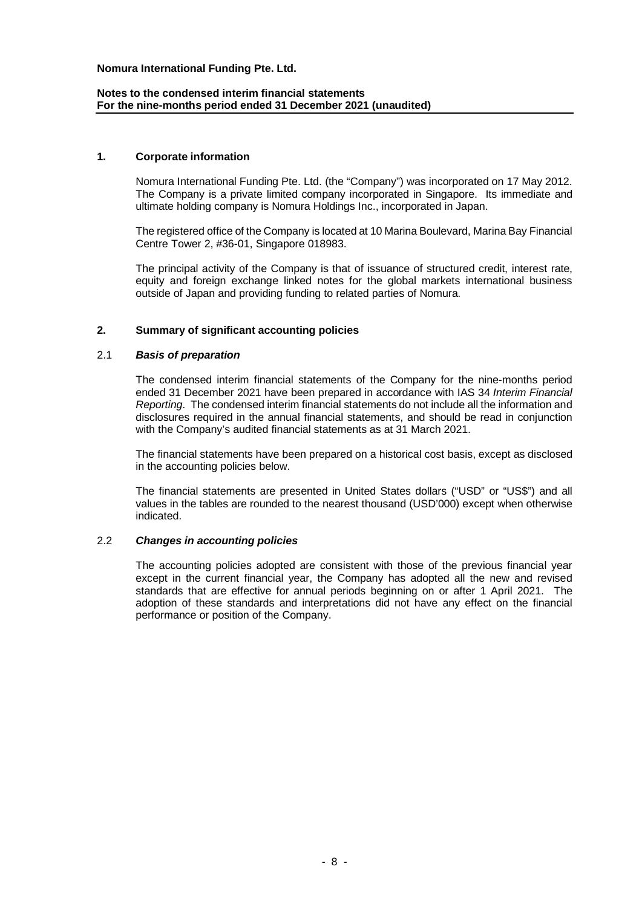## **Notes to the condensed interim financial statements For the nine-months period ended 31 December 2021 (unaudited)**

### **1. Corporate information**

Nomura International Funding Pte. Ltd. (the "Company") was incorporated on 17 May 2012. The Company is a private limited company incorporated in Singapore. Its immediate and ultimate holding company is Nomura Holdings Inc., incorporated in Japan.

The registered office of the Company is located at 10 Marina Boulevard, Marina Bay Financial Centre Tower 2, #36-01, Singapore 018983.

The principal activity of the Company is that of issuance of structured credit, interest rate, equity and foreign exchange linked notes for the global markets international business outside of Japan and providing funding to related parties of Nomura.

## **2. Summary of significant accounting policies**

## 2.1 *Basis of preparation*

The condensed interim financial statements of the Company for the nine-months period ended 31 December 2021 have been prepared in accordance with IAS 34 *Interim Financial Reporting*. The condensed interim financial statements do not include all the information and disclosures required in the annual financial statements, and should be read in conjunction with the Company's audited financial statements as at 31 March 2021.

The financial statements have been prepared on a historical cost basis, except as disclosed in the accounting policies below.

The financial statements are presented in United States dollars ("USD" or "US\$") and all values in the tables are rounded to the nearest thousand (USD'000) except when otherwise indicated.

#### 2.2 *Changes in accounting policies*

The accounting policies adopted are consistent with those of the previous financial year except in the current financial year, the Company has adopted all the new and revised standards that are effective for annual periods beginning on or after 1 April 2021. The adoption of these standards and interpretations did not have any effect on the financial performance or position of the Company.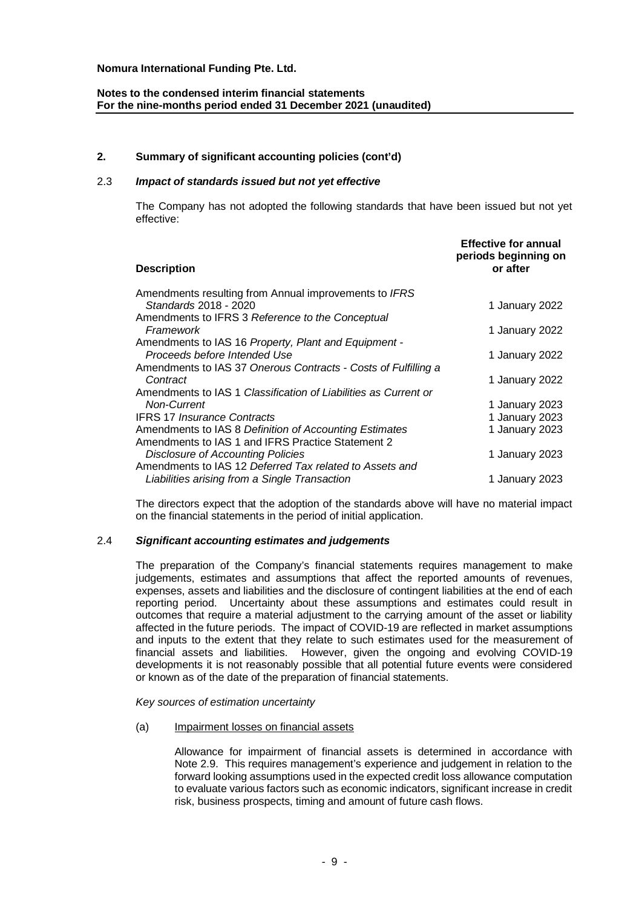# **Notes to the condensed interim financial statements For the nine-months period ended 31 December 2021 (unaudited)**

## **2. Summary of significant accounting policies (cont'd)**

# 2.3 *Impact of standards issued but not yet effective*

The Company has not adopted the following standards that have been issued but not yet effective:

| <b>Description</b>                                              | <b>Effective for annual</b><br>periods beginning on<br>or after |
|-----------------------------------------------------------------|-----------------------------------------------------------------|
| Amendments resulting from Annual improvements to IFRS           |                                                                 |
| Standards 2018 - 2020                                           | 1 January 2022                                                  |
| Amendments to IFRS 3 Reference to the Conceptual                |                                                                 |
| Framework                                                       | 1 January 2022                                                  |
| Amendments to IAS 16 Property, Plant and Equipment -            |                                                                 |
| Proceeds before Intended Use                                    | 1 January 2022                                                  |
| Amendments to IAS 37 Onerous Contracts - Costs of Fulfilling a  |                                                                 |
| Contract                                                        | 1 January 2022                                                  |
| Amendments to IAS 1 Classification of Liabilities as Current or |                                                                 |
| <b>Non-Current</b>                                              | 1 January 2023                                                  |
| <b>IFRS 17 Insurance Contracts</b>                              | 1 January 2023                                                  |
| Amendments to IAS 8 Definition of Accounting Estimates          | 1 January 2023                                                  |
| Amendments to IAS 1 and IFRS Practice Statement 2               |                                                                 |
| <b>Disclosure of Accounting Policies</b>                        | 1 January 2023                                                  |
| Amendments to IAS 12 Deferred Tax related to Assets and         |                                                                 |
| Liabilities arising from a Single Transaction                   | 1 January 2023                                                  |
|                                                                 |                                                                 |

The directors expect that the adoption of the standards above will have no material impact on the financial statements in the period of initial application.

#### 2.4 *Significant accounting estimates and judgements*

The preparation of the Company's financial statements requires management to make judgements, estimates and assumptions that affect the reported amounts of revenues, expenses, assets and liabilities and the disclosure of contingent liabilities at the end of each reporting period. Uncertainty about these assumptions and estimates could result in outcomes that require a material adjustment to the carrying amount of the asset or liability affected in the future periods. The impact of COVID-19 are reflected in market assumptions and inputs to the extent that they relate to such estimates used for the measurement of financial assets and liabilities. However, given the ongoing and evolving COVID-19 developments it is not reasonably possible that all potential future events were considered or known as of the date of the preparation of financial statements.

*Key sources of estimation uncertainty*

#### (a) Impairment losses on financial assets

Allowance for impairment of financial assets is determined in accordance with Note 2.9. This requires management's experience and judgement in relation to the forward looking assumptions used in the expected credit loss allowance computation to evaluate various factors such as economic indicators, significant increase in credit risk, business prospects, timing and amount of future cash flows.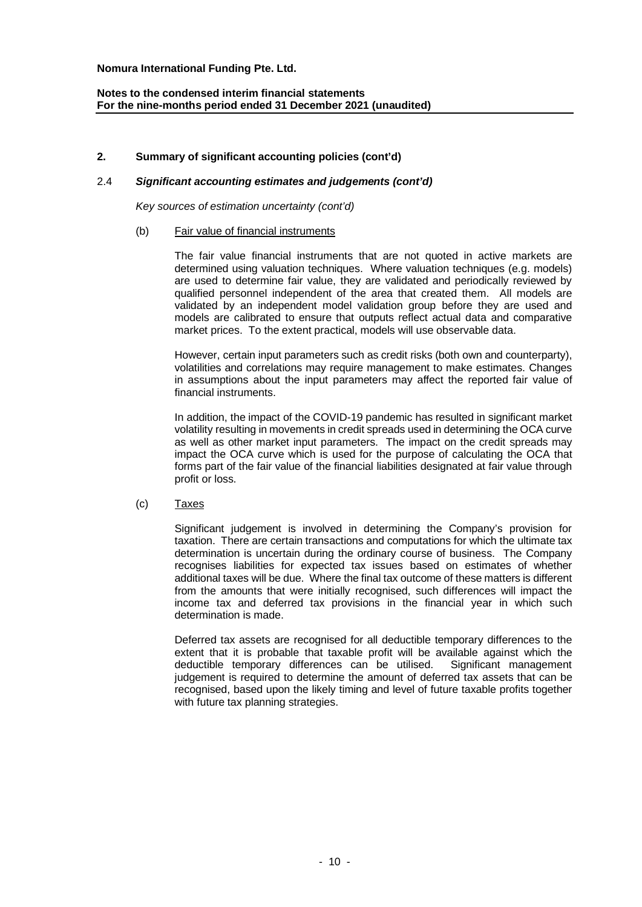# **2. Summary of significant accounting policies (cont'd)**

## 2.4 *Significant accounting estimates and judgements (cont'd)*

*Key sources of estimation uncertainty (cont'd)*

## (b) Fair value of financial instruments

The fair value financial instruments that are not quoted in active markets are determined using valuation techniques. Where valuation techniques (e.g. models) are used to determine fair value, they are validated and periodically reviewed by qualified personnel independent of the area that created them. All models are validated by an independent model validation group before they are used and models are calibrated to ensure that outputs reflect actual data and comparative market prices. To the extent practical, models will use observable data.

However, certain input parameters such as credit risks (both own and counterparty), volatilities and correlations may require management to make estimates. Changes in assumptions about the input parameters may affect the reported fair value of financial instruments.

In addition, the impact of the COVID-19 pandemic has resulted in significant market volatility resulting in movements in credit spreads used in determining the OCA curve as well as other market input parameters. The impact on the credit spreads may impact the OCA curve which is used for the purpose of calculating the OCA that forms part of the fair value of the financial liabilities designated at fair value through profit or loss.

#### (c) Taxes

Significant judgement is involved in determining the Company's provision for taxation. There are certain transactions and computations for which the ultimate tax determination is uncertain during the ordinary course of business. The Company recognises liabilities for expected tax issues based on estimates of whether additional taxes will be due. Where the final tax outcome of these matters is different from the amounts that were initially recognised, such differences will impact the income tax and deferred tax provisions in the financial year in which such determination is made.

Deferred tax assets are recognised for all deductible temporary differences to the extent that it is probable that taxable profit will be available against which the deductible temporary differences can be utilised. Significant management judgement is required to determine the amount of deferred tax assets that can be recognised, based upon the likely timing and level of future taxable profits together with future tax planning strategies.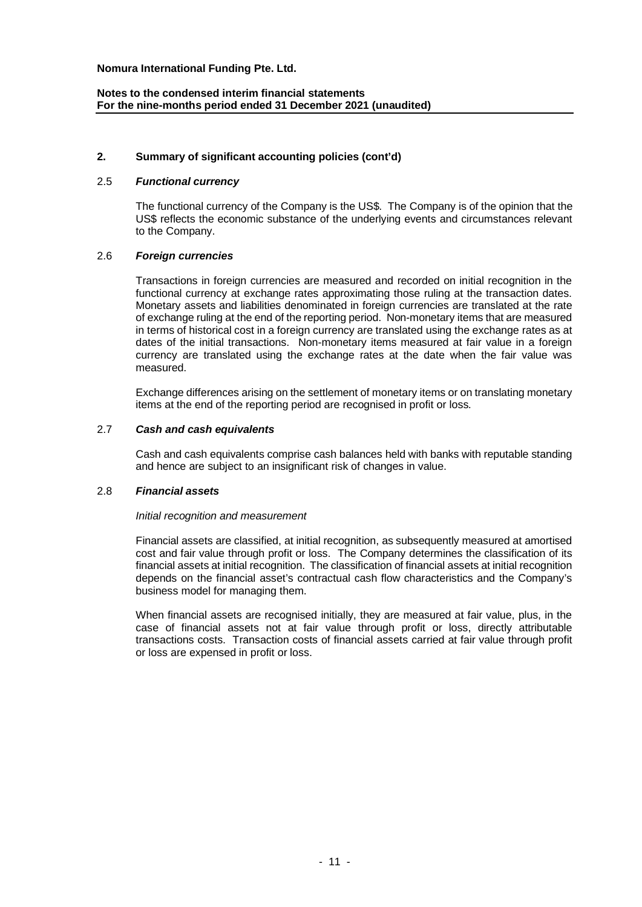# **2. Summary of significant accounting policies (cont'd)**

# 2.5 *Functional currency*

The functional currency of the Company is the US\$. The Company is of the opinion that the US\$ reflects the economic substance of the underlying events and circumstances relevant to the Company.

## 2.6 *Foreign currencies*

Transactions in foreign currencies are measured and recorded on initial recognition in the functional currency at exchange rates approximating those ruling at the transaction dates. Monetary assets and liabilities denominated in foreign currencies are translated at the rate of exchange ruling at the end of the reporting period. Non-monetary items that are measured in terms of historical cost in a foreign currency are translated using the exchange rates as at dates of the initial transactions. Non-monetary items measured at fair value in a foreign currency are translated using the exchange rates at the date when the fair value was measured.

Exchange differences arising on the settlement of monetary items or on translating monetary items at the end of the reporting period are recognised in profit or loss.

## 2.7 *Cash and cash equivalents*

Cash and cash equivalents comprise cash balances held with banks with reputable standing and hence are subject to an insignificant risk of changes in value.

## 2.8 *Financial assets*

#### *Initial recognition and measurement*

Financial assets are classified, at initial recognition, as subsequently measured at amortised cost and fair value through profit or loss. The Company determines the classification of its financial assets at initial recognition. The classification of financial assets at initial recognition depends on the financial asset's contractual cash flow characteristics and the Company's business model for managing them.

When financial assets are recognised initially, they are measured at fair value, plus, in the case of financial assets not at fair value through profit or loss, directly attributable transactions costs. Transaction costs of financial assets carried at fair value through profit or loss are expensed in profit or loss.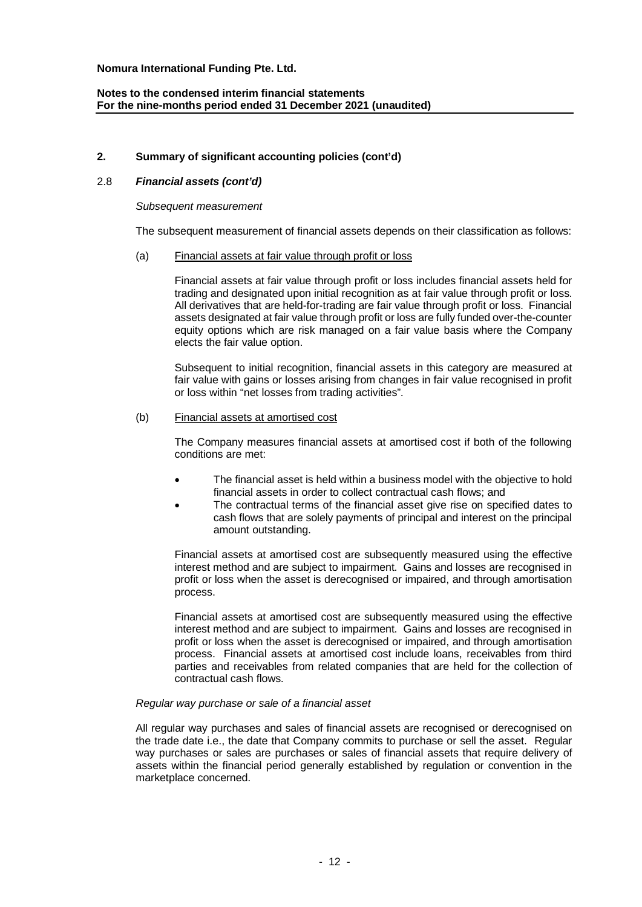# **2. Summary of significant accounting policies (cont'd)**

# 2.8 *Financial assets (cont'd)*

#### *Subsequent measurement*

The subsequent measurement of financial assets depends on their classification as follows:

#### (a) Financial assets at fair value through profit or loss

Financial assets at fair value through profit or loss includes financial assets held for trading and designated upon initial recognition as at fair value through profit or loss. All derivatives that are held-for-trading are fair value through profit or loss. Financial assets designated at fair value through profit or loss are fully funded over-the-counter equity options which are risk managed on a fair value basis where the Company elects the fair value option.

Subsequent to initial recognition, financial assets in this category are measured at fair value with gains or losses arising from changes in fair value recognised in profit or loss within "net losses from trading activities".

#### (b) Financial assets at amortised cost

The Company measures financial assets at amortised cost if both of the following conditions are met:

- The financial asset is held within a business model with the objective to hold financial assets in order to collect contractual cash flows; and
- The contractual terms of the financial asset give rise on specified dates to cash flows that are solely payments of principal and interest on the principal amount outstanding.

Financial assets at amortised cost are subsequently measured using the effective interest method and are subject to impairment. Gains and losses are recognised in profit or loss when the asset is derecognised or impaired, and through amortisation process.

Financial assets at amortised cost are subsequently measured using the effective interest method and are subject to impairment. Gains and losses are recognised in profit or loss when the asset is derecognised or impaired, and through amortisation process. Financial assets at amortised cost include loans, receivables from third parties and receivables from related companies that are held for the collection of contractual cash flows.

#### *Regular way purchase or sale of a financial asset*

All regular way purchases and sales of financial assets are recognised or derecognised on the trade date i.e., the date that Company commits to purchase or sell the asset. Regular way purchases or sales are purchases or sales of financial assets that require delivery of assets within the financial period generally established by regulation or convention in the marketplace concerned.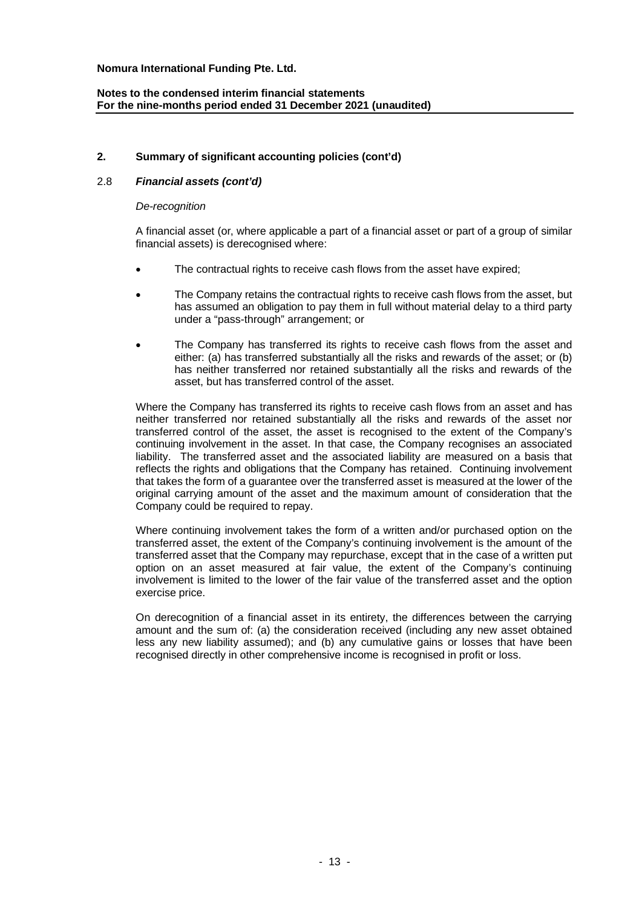# **2. Summary of significant accounting policies (cont'd)**

# 2.8 *Financial assets (cont'd)*

#### *De-recognition*

A financial asset (or, where applicable a part of a financial asset or part of a group of similar financial assets) is derecognised where:

- The contractual rights to receive cash flows from the asset have expired;
- The Company retains the contractual rights to receive cash flows from the asset, but has assumed an obligation to pay them in full without material delay to a third party under a "pass-through" arrangement; or
- The Company has transferred its rights to receive cash flows from the asset and either: (a) has transferred substantially all the risks and rewards of the asset; or (b) has neither transferred nor retained substantially all the risks and rewards of the asset, but has transferred control of the asset.

Where the Company has transferred its rights to receive cash flows from an asset and has neither transferred nor retained substantially all the risks and rewards of the asset nor transferred control of the asset, the asset is recognised to the extent of the Company's continuing involvement in the asset. In that case, the Company recognises an associated liability. The transferred asset and the associated liability are measured on a basis that reflects the rights and obligations that the Company has retained. Continuing involvement that takes the form of a guarantee over the transferred asset is measured at the lower of the original carrying amount of the asset and the maximum amount of consideration that the Company could be required to repay.

Where continuing involvement takes the form of a written and/or purchased option on the transferred asset, the extent of the Company's continuing involvement is the amount of the transferred asset that the Company may repurchase, except that in the case of a written put option on an asset measured at fair value, the extent of the Company's continuing involvement is limited to the lower of the fair value of the transferred asset and the option exercise price.

On derecognition of a financial asset in its entirety, the differences between the carrying amount and the sum of: (a) the consideration received (including any new asset obtained less any new liability assumed); and (b) any cumulative gains or losses that have been recognised directly in other comprehensive income is recognised in profit or loss.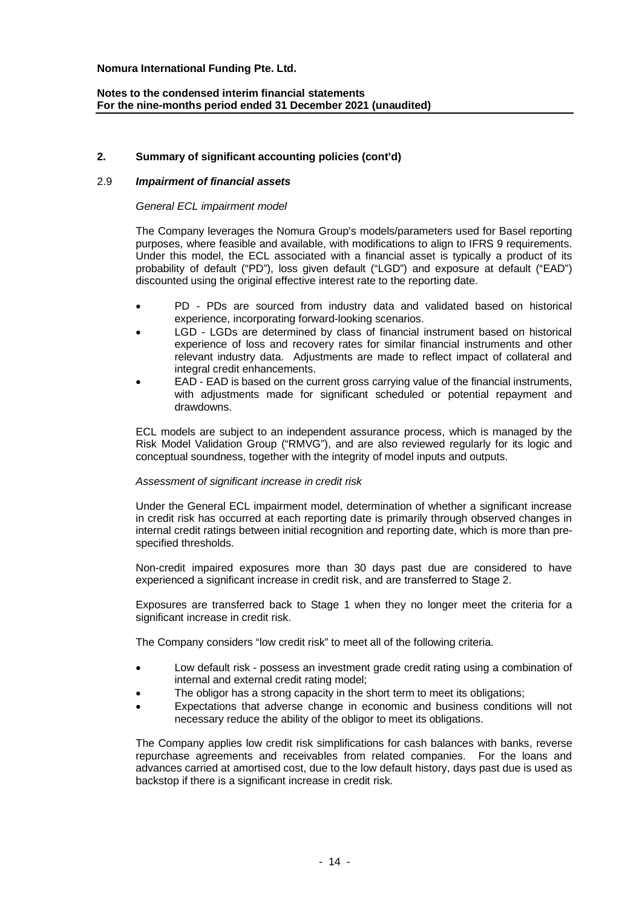# **Notes to the condensed interim financial statements For the nine-months period ended 31 December 2021 (unaudited)**

# **2. Summary of significant accounting policies (cont'd)**

## 2.9 *Impairment of financial assets*

#### *General ECL impairment model*

The Company leverages the Nomura Group's models/parameters used for Basel reporting purposes, where feasible and available, with modifications to align to IFRS 9 requirements. Under this model, the ECL associated with a financial asset is typically a product of its probability of default ("PD"), loss given default ("LGD") and exposure at default ("EAD") discounted using the original effective interest rate to the reporting date.

- PD PDs are sourced from industry data and validated based on historical experience, incorporating forward-looking scenarios.
- LGD LGDs are determined by class of financial instrument based on historical experience of loss and recovery rates for similar financial instruments and other relevant industry data. Adjustments are made to reflect impact of collateral and integral credit enhancements.
- EAD EAD is based on the current gross carrying value of the financial instruments, with adjustments made for significant scheduled or potential repayment and drawdowns.

ECL models are subject to an independent assurance process, which is managed by the Risk Model Validation Group ("RMVG"), and are also reviewed regularly for its logic and conceptual soundness, together with the integrity of model inputs and outputs.

#### *Assessment of significant increase in credit risk*

Under the General ECL impairment model, determination of whether a significant increase in credit risk has occurred at each reporting date is primarily through observed changes in internal credit ratings between initial recognition and reporting date, which is more than prespecified thresholds.

Non-credit impaired exposures more than 30 days past due are considered to have experienced a significant increase in credit risk, and are transferred to Stage 2.

Exposures are transferred back to Stage 1 when they no longer meet the criteria for a significant increase in credit risk.

The Company considers "low credit risk" to meet all of the following criteria.

- Low default risk possess an investment grade credit rating using a combination of internal and external credit rating model;
- The obligor has a strong capacity in the short term to meet its obligations;
- Expectations that adverse change in economic and business conditions will not necessary reduce the ability of the obligor to meet its obligations.

The Company applies low credit risk simplifications for cash balances with banks, reverse repurchase agreements and receivables from related companies. For the loans and advances carried at amortised cost, due to the low default history, days past due is used as backstop if there is a significant increase in credit risk.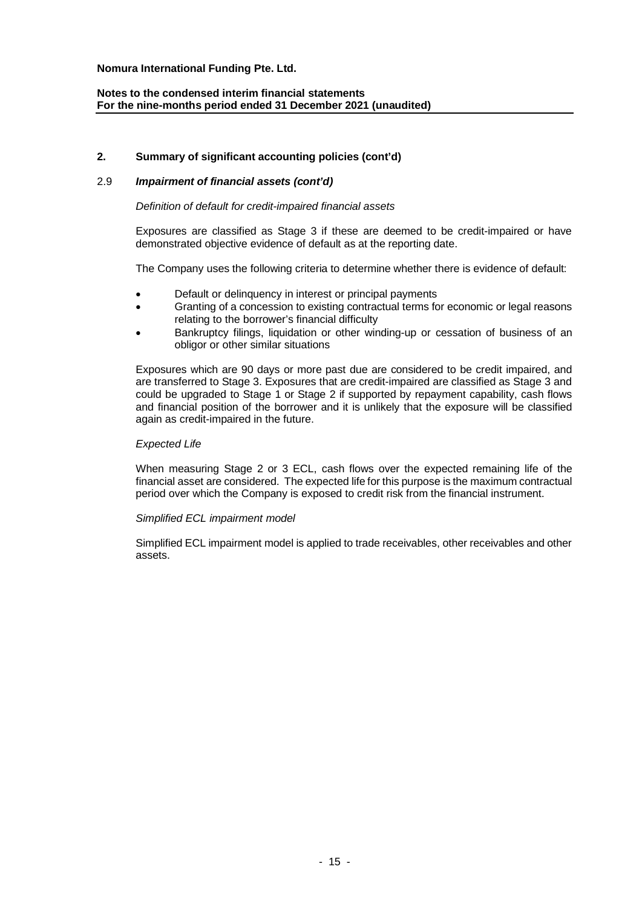# **Notes to the condensed interim financial statements For the nine-months period ended 31 December 2021 (unaudited)**

# **2. Summary of significant accounting policies (cont'd)**

# 2.9 *Impairment of financial assets (cont'd)*

## *Definition of default for credit-impaired financial assets*

Exposures are classified as Stage 3 if these are deemed to be credit-impaired or have demonstrated objective evidence of default as at the reporting date.

The Company uses the following criteria to determine whether there is evidence of default:

- Default or delinquency in interest or principal payments
- Granting of a concession to existing contractual terms for economic or legal reasons relating to the borrower's financial difficulty
- Bankruptcy filings, liquidation or other winding-up or cessation of business of an obligor or other similar situations

Exposures which are 90 days or more past due are considered to be credit impaired, and are transferred to Stage 3. Exposures that are credit-impaired are classified as Stage 3 and could be upgraded to Stage 1 or Stage 2 if supported by repayment capability, cash flows and financial position of the borrower and it is unlikely that the exposure will be classified again as credit-impaired in the future.

#### *Expected Life*

When measuring Stage 2 or 3 ECL, cash flows over the expected remaining life of the financial asset are considered. The expected life for this purpose is the maximum contractual period over which the Company is exposed to credit risk from the financial instrument.

#### *Simplified ECL impairment model*

Simplified ECL impairment model is applied to trade receivables, other receivables and other assets.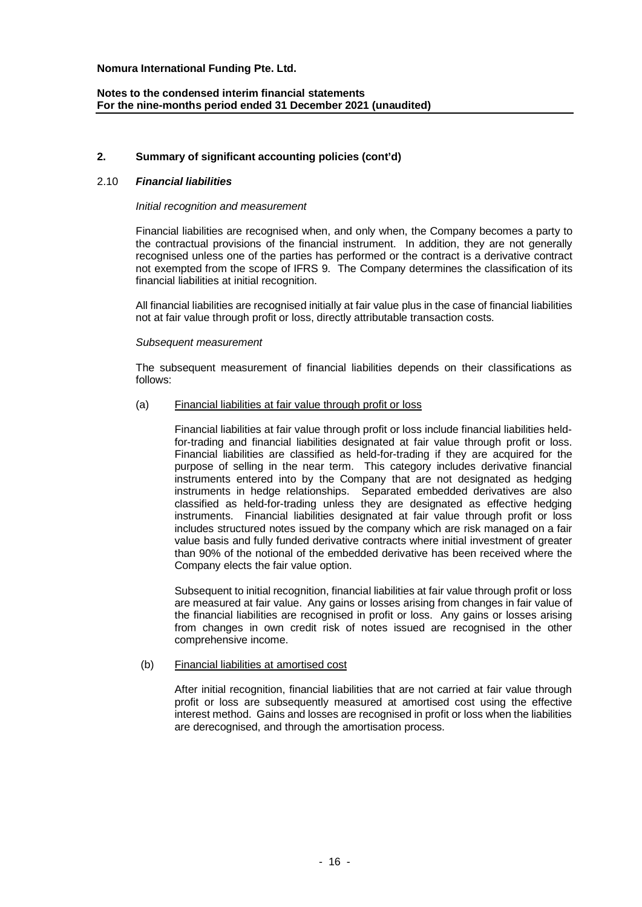# **2. Summary of significant accounting policies (cont'd)**

## 2.10 *Financial liabilities*

#### *Initial recognition and measurement*

Financial liabilities are recognised when, and only when, the Company becomes a party to the contractual provisions of the financial instrument. In addition, they are not generally recognised unless one of the parties has performed or the contract is a derivative contract not exempted from the scope of IFRS 9. The Company determines the classification of its financial liabilities at initial recognition.

All financial liabilities are recognised initially at fair value plus in the case of financial liabilities not at fair value through profit or loss, directly attributable transaction costs.

## *Subsequent measurement*

The subsequent measurement of financial liabilities depends on their classifications as follows:

## (a) Financial liabilities at fair value through profit or loss

Financial liabilities at fair value through profit or loss include financial liabilities heldfor-trading and financial liabilities designated at fair value through profit or loss. Financial liabilities are classified as held-for-trading if they are acquired for the purpose of selling in the near term. This category includes derivative financial instruments entered into by the Company that are not designated as hedging instruments in hedge relationships. Separated embedded derivatives are also classified as held-for-trading unless they are designated as effective hedging instruments. Financial liabilities designated at fair value through profit or loss includes structured notes issued by the company which are risk managed on a fair value basis and fully funded derivative contracts where initial investment of greater than 90% of the notional of the embedded derivative has been received where the Company elects the fair value option.

Subsequent to initial recognition, financial liabilities at fair value through profit or loss are measured at fair value. Any gains or losses arising from changes in fair value of the financial liabilities are recognised in profit or loss. Any gains or losses arising from changes in own credit risk of notes issued are recognised in the other comprehensive income.

#### (b) Financial liabilities at amortised cost

After initial recognition, financial liabilities that are not carried at fair value through profit or loss are subsequently measured at amortised cost using the effective interest method. Gains and losses are recognised in profit or loss when the liabilities are derecognised, and through the amortisation process.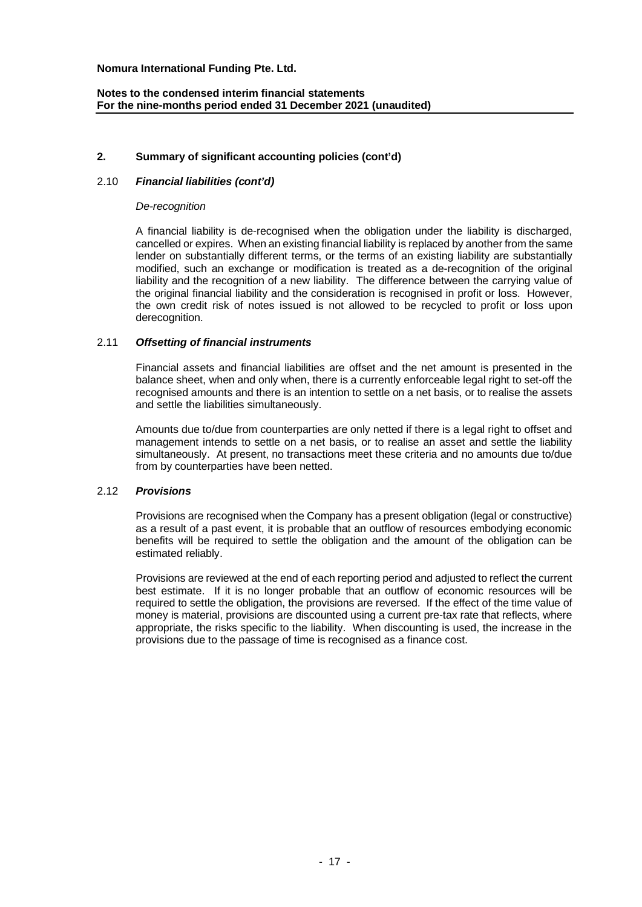# **2. Summary of significant accounting policies (cont'd)**

# 2.10 *Financial liabilities (cont'd)*

#### *De-recognition*

A financial liability is de-recognised when the obligation under the liability is discharged, cancelled or expires. When an existing financial liability is replaced by another from the same lender on substantially different terms, or the terms of an existing liability are substantially modified, such an exchange or modification is treated as a de-recognition of the original liability and the recognition of a new liability. The difference between the carrying value of the original financial liability and the consideration is recognised in profit or loss. However, the own credit risk of notes issued is not allowed to be recycled to profit or loss upon derecognition.

#### 2.11 *Offsetting of financial instruments*

Financial assets and financial liabilities are offset and the net amount is presented in the balance sheet, when and only when, there is a currently enforceable legal right to set-off the recognised amounts and there is an intention to settle on a net basis, or to realise the assets and settle the liabilities simultaneously.

Amounts due to/due from counterparties are only netted if there is a legal right to offset and management intends to settle on a net basis, or to realise an asset and settle the liability simultaneously. At present, no transactions meet these criteria and no amounts due to/due from by counterparties have been netted.

#### 2.12 *Provisions*

Provisions are recognised when the Company has a present obligation (legal or constructive) as a result of a past event, it is probable that an outflow of resources embodying economic benefits will be required to settle the obligation and the amount of the obligation can be estimated reliably.

Provisions are reviewed at the end of each reporting period and adjusted to reflect the current best estimate. If it is no longer probable that an outflow of economic resources will be required to settle the obligation, the provisions are reversed. If the effect of the time value of money is material, provisions are discounted using a current pre-tax rate that reflects, where appropriate, the risks specific to the liability. When discounting is used, the increase in the provisions due to the passage of time is recognised as a finance cost.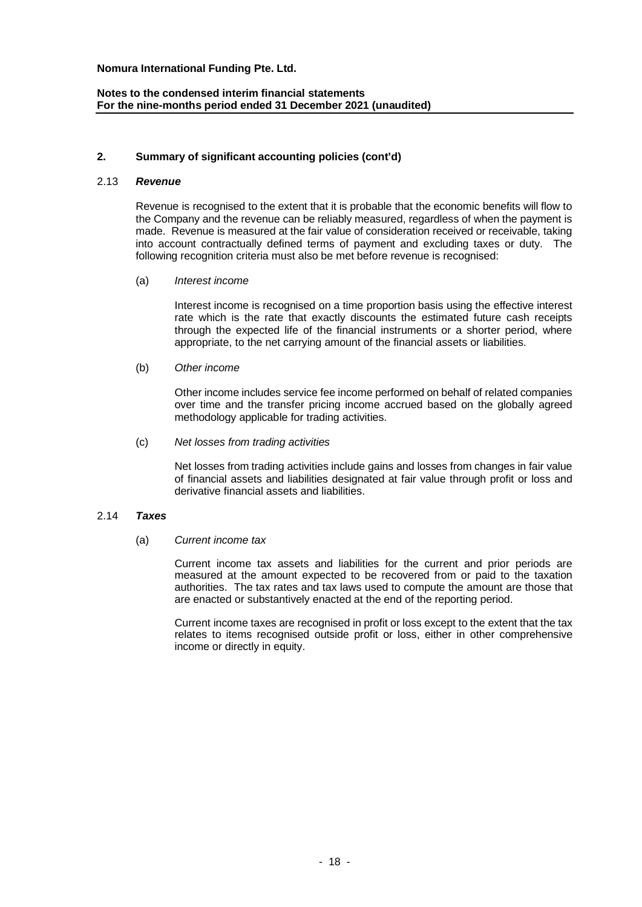# **Notes to the condensed interim financial statements For the nine-months period ended 31 December 2021 (unaudited)**

## **2. Summary of significant accounting policies (cont'd)**

#### 2.13 *Revenue*

Revenue is recognised to the extent that it is probable that the economic benefits will flow to the Company and the revenue can be reliably measured, regardless of when the payment is made. Revenue is measured at the fair value of consideration received or receivable, taking into account contractually defined terms of payment and excluding taxes or duty. The following recognition criteria must also be met before revenue is recognised:

(a) *Interest income*

Interest income is recognised on a time proportion basis using the effective interest rate which is the rate that exactly discounts the estimated future cash receipts through the expected life of the financial instruments or a shorter period, where appropriate, to the net carrying amount of the financial assets or liabilities.

(b) *Other income*

Other income includes service fee income performed on behalf of related companies over time and the transfer pricing income accrued based on the globally agreed methodology applicable for trading activities.

(c) *Net losses from trading activities*

Net losses from trading activities include gains and losses from changes in fair value of financial assets and liabilities designated at fair value through profit or loss and derivative financial assets and liabilities.

# 2.14 *Taxes*

(a) *Current income tax*

Current income tax assets and liabilities for the current and prior periods are measured at the amount expected to be recovered from or paid to the taxation authorities. The tax rates and tax laws used to compute the amount are those that are enacted or substantively enacted at the end of the reporting period.

Current income taxes are recognised in profit or loss except to the extent that the tax relates to items recognised outside profit or loss, either in other comprehensive income or directly in equity.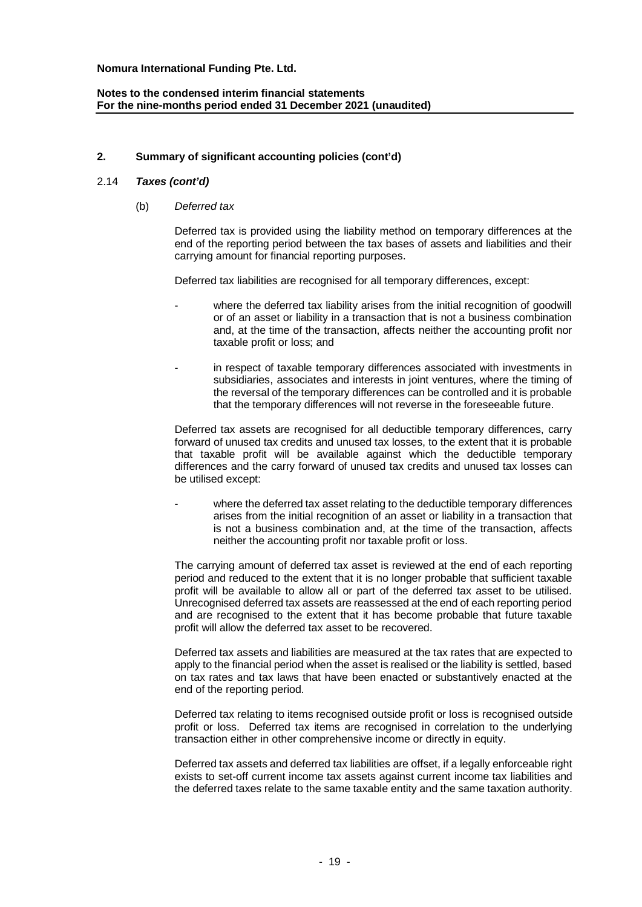# **2. Summary of significant accounting policies (cont'd)**

## 2.14 *Taxes (cont'd)*

(b) *Deferred tax*

Deferred tax is provided using the liability method on temporary differences at the end of the reporting period between the tax bases of assets and liabilities and their carrying amount for financial reporting purposes.

Deferred tax liabilities are recognised for all temporary differences, except:

- where the deferred tax liability arises from the initial recognition of goodwill or of an asset or liability in a transaction that is not a business combination and, at the time of the transaction, affects neither the accounting profit nor taxable profit or loss; and
- in respect of taxable temporary differences associated with investments in subsidiaries, associates and interests in joint ventures, where the timing of the reversal of the temporary differences can be controlled and it is probable that the temporary differences will not reverse in the foreseeable future.

Deferred tax assets are recognised for all deductible temporary differences, carry forward of unused tax credits and unused tax losses, to the extent that it is probable that taxable profit will be available against which the deductible temporary differences and the carry forward of unused tax credits and unused tax losses can be utilised except:

where the deferred tax asset relating to the deductible temporary differences arises from the initial recognition of an asset or liability in a transaction that is not a business combination and, at the time of the transaction, affects neither the accounting profit nor taxable profit or loss.

The carrying amount of deferred tax asset is reviewed at the end of each reporting period and reduced to the extent that it is no longer probable that sufficient taxable profit will be available to allow all or part of the deferred tax asset to be utilised. Unrecognised deferred tax assets are reassessed at the end of each reporting period and are recognised to the extent that it has become probable that future taxable profit will allow the deferred tax asset to be recovered.

Deferred tax assets and liabilities are measured at the tax rates that are expected to apply to the financial period when the asset is realised or the liability is settled, based on tax rates and tax laws that have been enacted or substantively enacted at the end of the reporting period.

Deferred tax relating to items recognised outside profit or loss is recognised outside profit or loss. Deferred tax items are recognised in correlation to the underlying transaction either in other comprehensive income or directly in equity.

Deferred tax assets and deferred tax liabilities are offset, if a legally enforceable right exists to set-off current income tax assets against current income tax liabilities and the deferred taxes relate to the same taxable entity and the same taxation authority.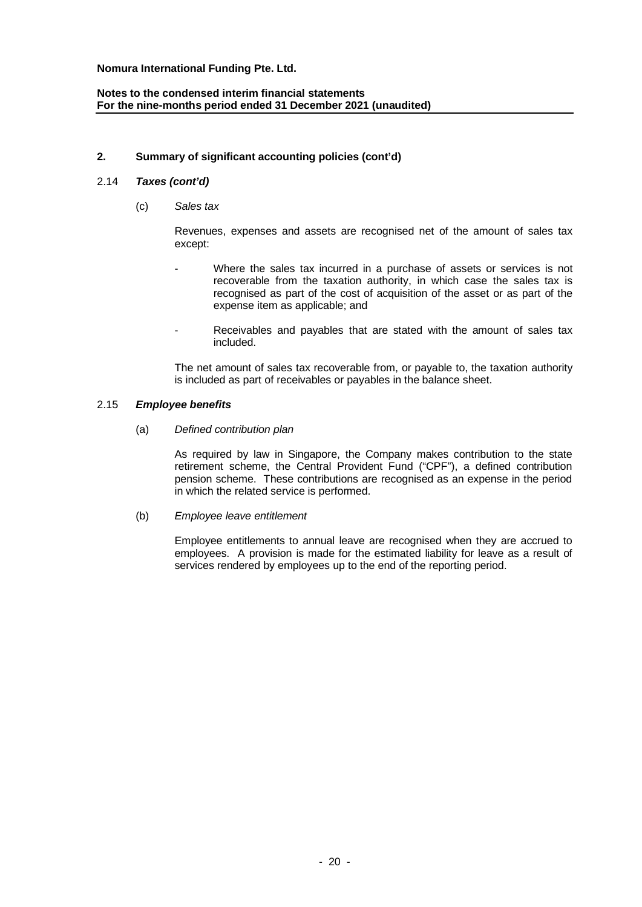# **Notes to the condensed interim financial statements For the nine-months period ended 31 December 2021 (unaudited)**

# **2. Summary of significant accounting policies (cont'd)**

# 2.14 *Taxes (cont'd)*

(c) *Sales tax*

Revenues, expenses and assets are recognised net of the amount of sales tax except:

- Where the sales tax incurred in a purchase of assets or services is not recoverable from the taxation authority, in which case the sales tax is recognised as part of the cost of acquisition of the asset or as part of the expense item as applicable; and
- Receivables and payables that are stated with the amount of sales tax included.

The net amount of sales tax recoverable from, or payable to, the taxation authority is included as part of receivables or payables in the balance sheet.

## 2.15 *Employee benefits*

(a) *Defined contribution plan*

As required by law in Singapore, the Company makes contribution to the state retirement scheme, the Central Provident Fund ("CPF"), a defined contribution pension scheme. These contributions are recognised as an expense in the period in which the related service is performed.

(b) *Employee leave entitlement*

Employee entitlements to annual leave are recognised when they are accrued to employees. A provision is made for the estimated liability for leave as a result of services rendered by employees up to the end of the reporting period.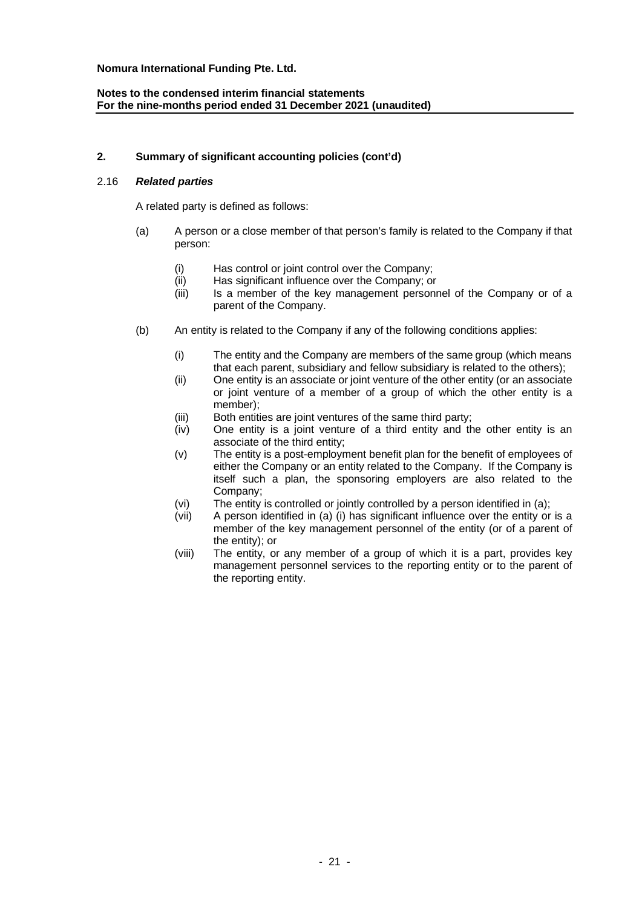# **Notes to the condensed interim financial statements For the nine-months period ended 31 December 2021 (unaudited)**

# **2. Summary of significant accounting policies (cont'd)**

# 2.16 *Related parties*

A related party is defined as follows:

- (a) A person or a close member of that person's family is related to the Company if that person:
	- (i) Has control or joint control over the Company;
	- (ii) Has significant influence over the Company; or
	- (iii) Is a member of the key management personnel of the Company or of a parent of the Company.
- (b) An entity is related to the Company if any of the following conditions applies:
	- (i) The entity and the Company are members of the same group (which means that each parent, subsidiary and fellow subsidiary is related to the others);
	- (ii) One entity is an associate or joint venture of the other entity (or an associate or joint venture of a member of a group of which the other entity is a member);
	- (iii) Both entities are joint ventures of the same third party;
	- (iv) One entity is a joint venture of a third entity and the other entity is an associate of the third entity;
	- (v) The entity is a post-employment benefit plan for the benefit of employees of either the Company or an entity related to the Company. If the Company is itself such a plan, the sponsoring employers are also related to the Company;
	- (vi) The entity is controlled or jointly controlled by a person identified in (a);
	- (vii) A person identified in (a) (i) has significant influence over the entity or is a member of the key management personnel of the entity (or of a parent of the entity); or
	- (viii) The entity, or any member of a group of which it is a part, provides key management personnel services to the reporting entity or to the parent of the reporting entity.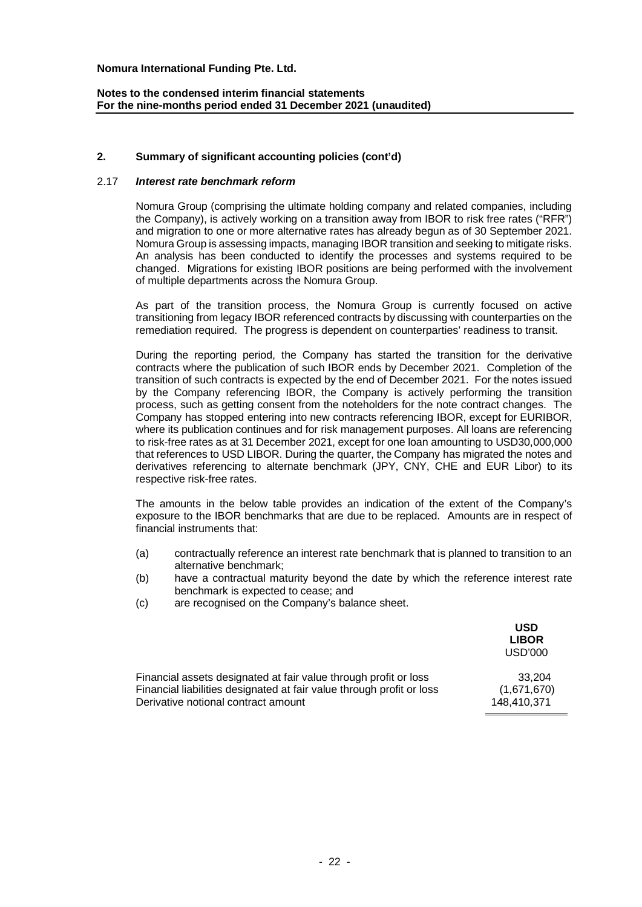# **Notes to the condensed interim financial statements For the nine-months period ended 31 December 2021 (unaudited)**

# **2. Summary of significant accounting policies (cont'd)**

#### 2.17 *Interest rate benchmark reform*

Nomura Group (comprising the ultimate holding company and related companies, including the Company), is actively working on a transition away from IBOR to risk free rates ("RFR") and migration to one or more alternative rates has already begun as of 30 September 2021. Nomura Group is assessing impacts, managing IBOR transition and seeking to mitigate risks. An analysis has been conducted to identify the processes and systems required to be changed. Migrations for existing IBOR positions are being performed with the involvement of multiple departments across the Nomura Group.

As part of the transition process, the Nomura Group is currently focused on active transitioning from legacy IBOR referenced contracts by discussing with counterparties on the remediation required. The progress is dependent on counterparties' readiness to transit.

During the reporting period, the Company has started the transition for the derivative contracts where the publication of such IBOR ends by December 2021. Completion of the transition of such contracts is expected by the end of December 2021. For the notes issued by the Company referencing IBOR, the Company is actively performing the transition process, such as getting consent from the noteholders for the note contract changes. The Company has stopped entering into new contracts referencing IBOR, except for EURIBOR, where its publication continues and for risk management purposes. All loans are referencing to risk-free rates as at 31 December 2021, except for one loan amounting to USD30,000,000 that references to USD LIBOR. During the quarter, the Company has migrated the notes and derivatives referencing to alternate benchmark (JPY, CNY, CHE and EUR Libor) to its respective risk-free rates.

The amounts in the below table provides an indication of the extent of the Company's exposure to the IBOR benchmarks that are due to be replaced. Amounts are in respect of financial instruments that:

- (a) contractually reference an interest rate benchmark that is planned to transition to an alternative benchmark;
- (b) have a contractual maturity beyond the date by which the reference interest rate benchmark is expected to cease; and
- (c) are recognised on the Company's balance sheet.

|                                                                       | USD<br><b>LIBOR</b><br>USD'000 |
|-----------------------------------------------------------------------|--------------------------------|
| Financial assets designated at fair value through profit or loss      | 33.204                         |
| Financial liabilities designated at fair value through profit or loss | (1,671,670)                    |
| Derivative notional contract amount                                   | 148.410.371                    |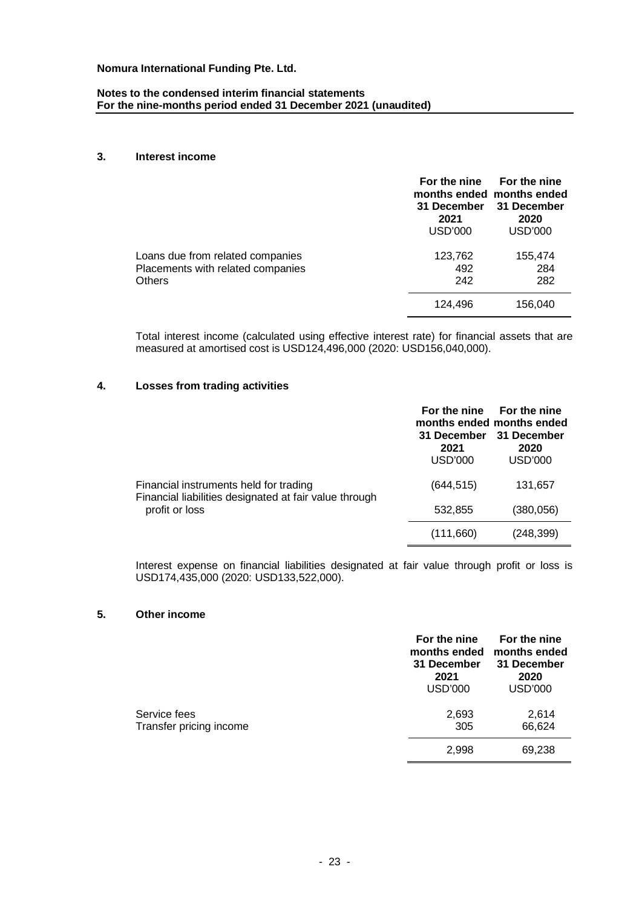## **Notes to the condensed interim financial statements For the nine-months period ended 31 December 2021 (unaudited)**

### **3. Interest income**

|                                                                                        | For the nine<br>31 December<br>2021<br><b>USD'000</b> | For the nine<br>months ended months ended<br>31 December<br>2020<br>USD'000 |
|----------------------------------------------------------------------------------------|-------------------------------------------------------|-----------------------------------------------------------------------------|
| Loans due from related companies<br>Placements with related companies<br><b>Others</b> | 123,762<br>492<br>242                                 | 155,474<br>284<br>282                                                       |
|                                                                                        | 124.496                                               | 156.040                                                                     |

Total interest income (calculated using effective interest rate) for financial assets that are measured at amortised cost is USD124,496,000 (2020: USD156,040,000).

# **4. Losses from trading activities**

|                                                                                                                    |                                       | For the nine For the nine<br>months ended months ended |
|--------------------------------------------------------------------------------------------------------------------|---------------------------------------|--------------------------------------------------------|
|                                                                                                                    | 31 December<br>2021<br><b>USD'000</b> | 31 December<br>2020<br><b>USD'000</b>                  |
| Financial instruments held for trading<br>Financial liabilities designated at fair value through<br>profit or loss | (644, 515)                            | 131,657                                                |
|                                                                                                                    | 532,855                               | (380, 056)                                             |
|                                                                                                                    | (111,660)                             | (248, 399)                                             |

Interest expense on financial liabilities designated at fair value through profit or loss is USD174,435,000 (2020: USD133,522,000).

## **5. Other income**

|                                         | For the nine<br>months ended<br>31 December<br>2021<br><b>USD'000</b> | For the nine<br>months ended<br>31 December<br>2020<br><b>USD'000</b> |
|-----------------------------------------|-----------------------------------------------------------------------|-----------------------------------------------------------------------|
| Service fees<br>Transfer pricing income | 2,693<br>305                                                          | 2,614<br>66,624                                                       |
|                                         | 2,998                                                                 | 69,238                                                                |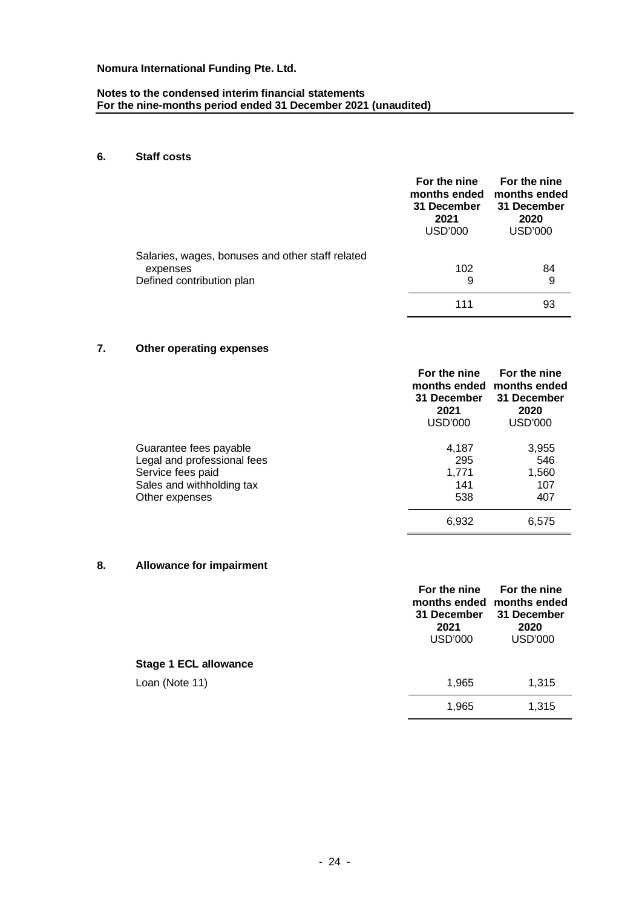## **Notes to the condensed interim financial statements For the nine-months period ended 31 December 2021 (unaudited)**

# **6. Staff costs**

|                                                  | For the nine<br>months ended<br>31 December<br>2021<br>USD'000 | For the nine<br>months ended<br>31 December<br>2020<br><b>USD'000</b> |
|--------------------------------------------------|----------------------------------------------------------------|-----------------------------------------------------------------------|
| Salaries, wages, bonuses and other staff related | 102                                                            | 84                                                                    |
| expenses<br>Defined contribution plan            | 9                                                              | 9                                                                     |
|                                                  | 111                                                            | 93                                                                    |

# **7. Other operating expenses**

|                             | For the nine<br>months ended<br>31 December<br>2021<br>USD'000 | For the nine<br>months ended<br>31 December<br>2020<br><b>USD'000</b> |
|-----------------------------|----------------------------------------------------------------|-----------------------------------------------------------------------|
| Guarantee fees payable      | 4,187                                                          | 3,955                                                                 |
| Legal and professional fees | 295                                                            | 546                                                                   |
| Service fees paid           | 1,771                                                          | 1,560                                                                 |
| Sales and withholding tax   | 141                                                            | 107                                                                   |
| Other expenses              | 538                                                            | 407                                                                   |
|                             | 6,932                                                          | 6,575                                                                 |

## **8. Allowance for impairment**

|                              | For the nine<br>31 December<br>2021<br><b>USD'000</b> | For the nine<br>months ended months ended<br>31 December<br>2020<br><b>USD'000</b> |
|------------------------------|-------------------------------------------------------|------------------------------------------------------------------------------------|
| <b>Stage 1 ECL allowance</b> |                                                       |                                                                                    |
| Loan (Note 11)               | 1,965                                                 | 1,315                                                                              |
|                              | 1,965                                                 | 1,315                                                                              |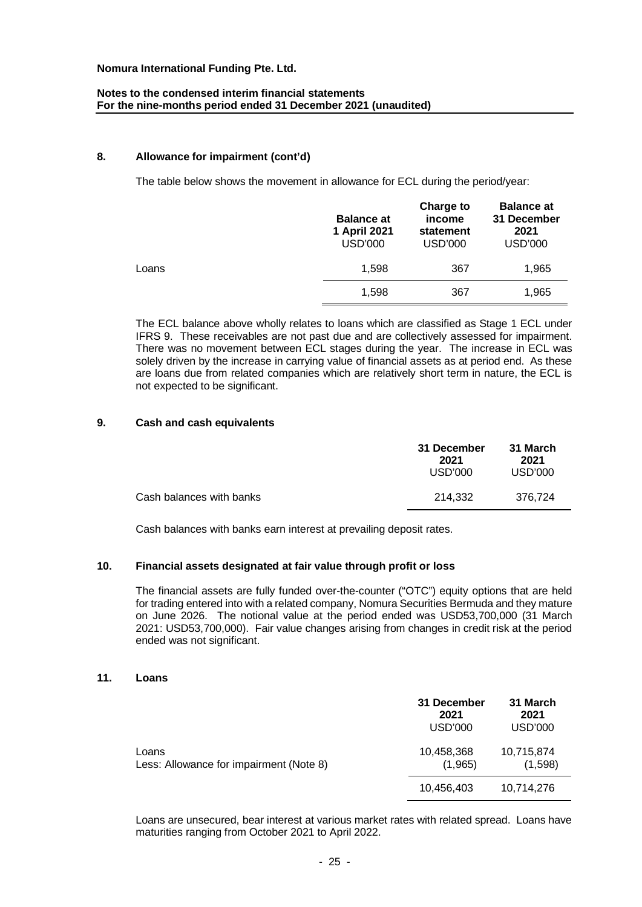# **Notes to the condensed interim financial statements For the nine-months period ended 31 December 2021 (unaudited)**

### **8. Allowance for impairment (cont'd)**

The table below shows the movement in allowance for ECL during the period/year:

|       | <b>Balance at</b><br>1 April 2021<br><b>USD'000</b> | Charge to<br>income<br>statement<br><b>USD'000</b> | <b>Balance at</b><br>31 December<br>2021<br>USD'000 |
|-------|-----------------------------------------------------|----------------------------------------------------|-----------------------------------------------------|
| Loans | 1.598                                               | 367                                                | 1,965                                               |
|       | 1,598                                               | 367                                                | 1,965                                               |

The ECL balance above wholly relates to loans which are classified as Stage 1 ECL under IFRS 9. These receivables are not past due and are collectively assessed for impairment. There was no movement between ECL stages during the year. The increase in ECL was solely driven by the increase in carrying value of financial assets as at period end. As these are loans due from related companies which are relatively short term in nature, the ECL is not expected to be significant.

## **9. Cash and cash equivalents**

|                          | 31 December<br>2021<br>USD'000 | 31 March<br>2021<br>USD'000 |
|--------------------------|--------------------------------|-----------------------------|
| Cash balances with banks | 214.332                        | 376.724                     |

Cash balances with banks earn interest at prevailing deposit rates.

#### **10. Financial assets designated at fair value through profit or loss**

The financial assets are fully funded over-the-counter ("OTC") equity options that are held for trading entered into with a related company, Nomura Securities Bermuda and they mature on June 2026. The notional value at the period ended was USD53,700,000 (31 March 2021: USD53,700,000). Fair value changes arising from changes in credit risk at the period ended was not significant.

### **11. Loans**

|                                                  | 31 December<br>2021<br>USD'000 | 31 March<br>2021<br>USD'000 |
|--------------------------------------------------|--------------------------------|-----------------------------|
| Loans<br>Less: Allowance for impairment (Note 8) | 10,458,368<br>(1,965)          | 10,715,874<br>(1,598)       |
|                                                  | 10,456,403                     | 10,714,276                  |

Loans are unsecured, bear interest at various market rates with related spread. Loans have maturities ranging from October 2021 to April 2022.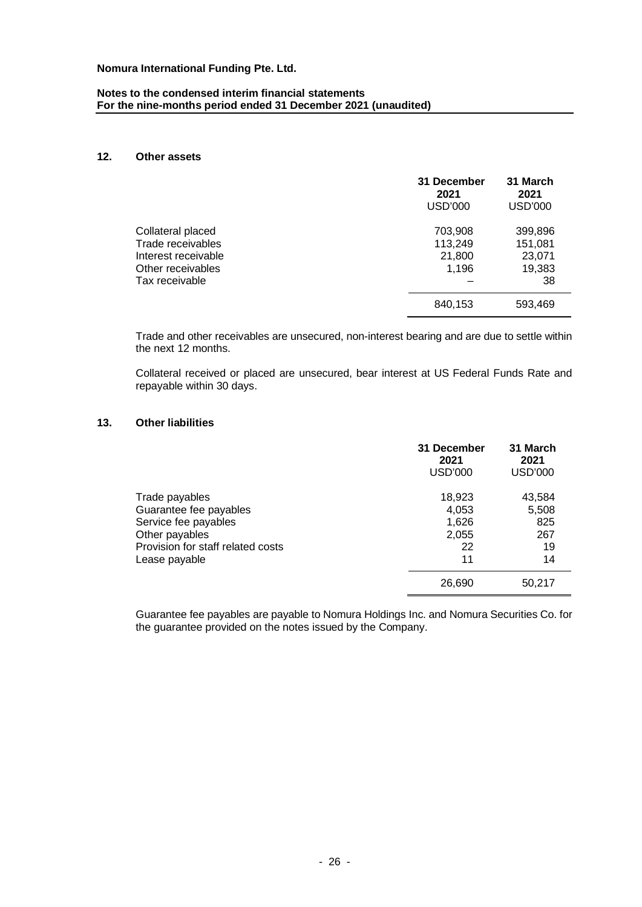## **Notes to the condensed interim financial statements For the nine-months period ended 31 December 2021 (unaudited)**

# **12. Other assets**

|                                                                                                      | 31 December<br>2021<br>USD'000        | 31 March<br>2021<br><b>USD'000</b>           |
|------------------------------------------------------------------------------------------------------|---------------------------------------|----------------------------------------------|
| Collateral placed<br>Trade receivables<br>Interest receivable<br>Other receivables<br>Tax receivable | 703,908<br>113,249<br>21,800<br>1,196 | 399,896<br>151,081<br>23,071<br>19,383<br>38 |
|                                                                                                      | 840,153                               | 593,469                                      |

Trade and other receivables are unsecured, non-interest bearing and are due to settle within the next 12 months.

Collateral received or placed are unsecured, bear interest at US Federal Funds Rate and repayable within 30 days.

# **13. Other liabilities**

|                                                                                                                                          | 31 December<br>2021<br>USD'000                | 31 March<br>2021<br><b>USD'000</b>        |
|------------------------------------------------------------------------------------------------------------------------------------------|-----------------------------------------------|-------------------------------------------|
| Trade payables<br>Guarantee fee payables<br>Service fee payables<br>Other payables<br>Provision for staff related costs<br>Lease payable | 18,923<br>4,053<br>1,626<br>2,055<br>22<br>11 | 43,584<br>5,508<br>825<br>267<br>19<br>14 |
|                                                                                                                                          | 26,690                                        | 50,217                                    |

Guarantee fee payables are payable to Nomura Holdings Inc. and Nomura Securities Co. for the guarantee provided on the notes issued by the Company.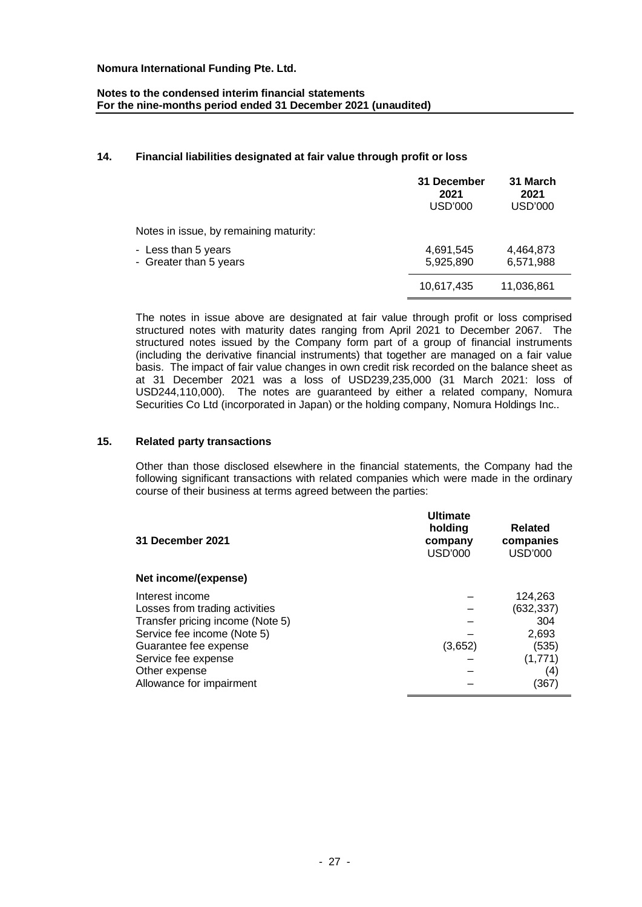# **Notes to the condensed interim financial statements For the nine-months period ended 31 December 2021 (unaudited)**

# **14. Financial liabilities designated at fair value through profit or loss**

|                                               | 31 December<br>2021<br><b>USD'000</b> | 31 March<br>2021<br><b>USD'000</b> |
|-----------------------------------------------|---------------------------------------|------------------------------------|
| Notes in issue, by remaining maturity:        |                                       |                                    |
| - Less than 5 years<br>- Greater than 5 years | 4,691,545<br>5,925,890                | 4,464,873<br>6,571,988             |
|                                               | 10,617,435                            | 11,036,861                         |

The notes in issue above are designated at fair value through profit or loss comprised structured notes with maturity dates ranging from April 2021 to December 2067. The structured notes issued by the Company form part of a group of financial instruments (including the derivative financial instruments) that together are managed on a fair value basis. The impact of fair value changes in own credit risk recorded on the balance sheet as at 31 December 2021 was a loss of USD239,235,000 (31 March 2021: loss of USD244,110,000). The notes are guaranteed by either a related company, Nomura Securities Co Ltd (incorporated in Japan) or the holding company, Nomura Holdings Inc..

### **15. Related party transactions**

Other than those disclosed elsewhere in the financial statements, the Company had the following significant transactions with related companies which were made in the ordinary course of their business at terms agreed between the parties:

| 31 December 2021<br>Net income/(expense)                                                                                                                                                                          | <b>Ultimate</b><br>holding<br>company<br>USD'000 | <b>Related</b><br>companies<br><b>USD'000</b>                            |
|-------------------------------------------------------------------------------------------------------------------------------------------------------------------------------------------------------------------|--------------------------------------------------|--------------------------------------------------------------------------|
| Interest income<br>Losses from trading activities<br>Transfer pricing income (Note 5)<br>Service fee income (Note 5)<br>Guarantee fee expense<br>Service fee expense<br>Other expense<br>Allowance for impairment | (3,652)                                          | 124,263<br>(632, 337)<br>304<br>2,693<br>(535)<br>(1,771)<br>(4)<br>(367 |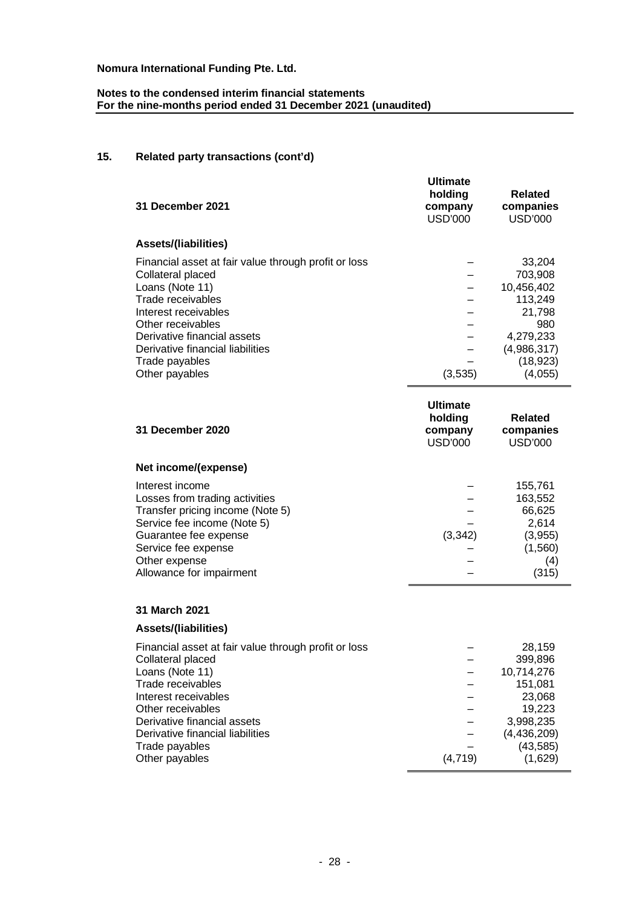# **Notes to the condensed interim financial statements For the nine-months period ended 31 December 2021 (unaudited)**

# **15. Related party transactions (cont'd)**

| 31 December 2021                                     | <b>Ultimate</b><br>holding<br>company<br>USD'000 | <b>Related</b><br>companies<br>USD'000 |
|------------------------------------------------------|--------------------------------------------------|----------------------------------------|
| <b>Assets/(liabilities)</b>                          |                                                  |                                        |
| Financial asset at fair value through profit or loss |                                                  | 33.204                                 |
| Collateral placed                                    |                                                  | 703,908                                |
| Loans (Note 11)                                      |                                                  | 10.456.402                             |
| Trade receivables                                    |                                                  | 113,249                                |
| Interest receivables                                 |                                                  | 21,798                                 |
| Other receivables                                    |                                                  | 980                                    |
| Derivative financial assets                          |                                                  | 4,279,233                              |
| Derivative financial liabilities                     |                                                  | (4,986,317)                            |
| Trade payables                                       |                                                  | (18,923)                               |
| Other payables                                       | (3,535)                                          | (4,055)                                |

| 31 December 2020<br>Net income/(expense)                                                                                                                                                                          | <b>Ultimate</b><br>holding<br>company<br>USD'000 | <b>Related</b><br>companies<br>USD'000                                       |
|-------------------------------------------------------------------------------------------------------------------------------------------------------------------------------------------------------------------|--------------------------------------------------|------------------------------------------------------------------------------|
| Interest income<br>Losses from trading activities<br>Transfer pricing income (Note 5)<br>Service fee income (Note 5)<br>Guarantee fee expense<br>Service fee expense<br>Other expense<br>Allowance for impairment | (3, 342)                                         | 155,761<br>163,552<br>66.625<br>2,614<br>(3,955)<br>(1, 560)<br>(4)<br>(315) |

# **31 March 2021**

# **Assets/(liabilities)**

| Financial asset at fair value through profit or loss |          | 28,159        |
|------------------------------------------------------|----------|---------------|
| Collateral placed                                    |          | 399,896       |
| Loans (Note 11)                                      |          | 10,714,276    |
| Trade receivables                                    |          | 151,081       |
| Interest receivables                                 |          | 23,068        |
| Other receivables                                    |          | 19,223        |
| Derivative financial assets                          |          | 3,998,235     |
| Derivative financial liabilities                     |          | (4, 436, 209) |
| Trade payables                                       |          | (43, 585)     |
| Other payables                                       | (4, 719) | (1,629)       |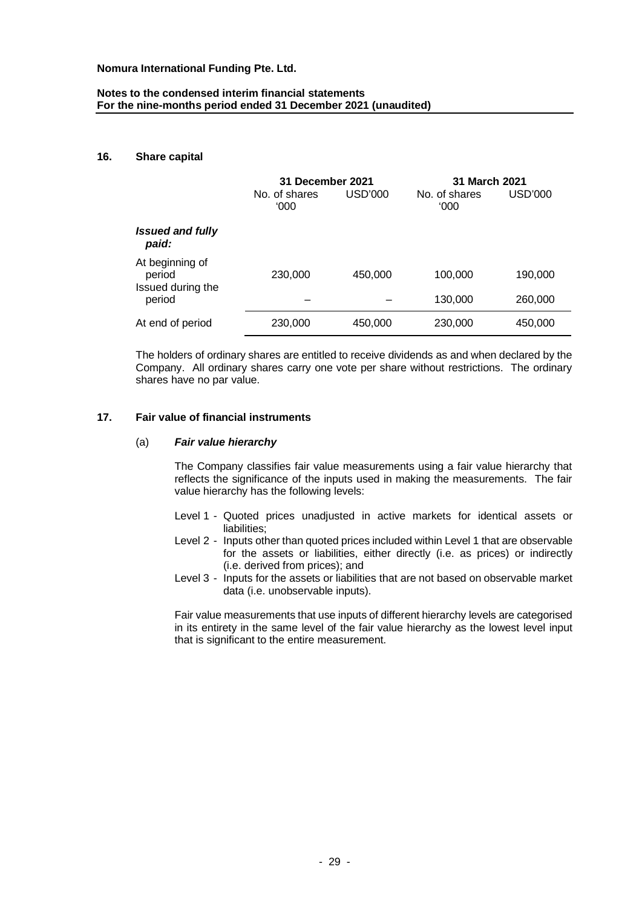# **Notes to the condensed interim financial statements For the nine-months period ended 31 December 2021 (unaudited)**

### **16. Share capital**

|                                                | 31 December 2021      |         | <b>31 March 2021</b>  |         |
|------------------------------------------------|-----------------------|---------|-----------------------|---------|
|                                                | No. of shares<br>000' | USD'000 | No. of shares<br>000' | USD'000 |
| <b>Issued and fully</b><br>paid:               |                       |         |                       |         |
| At beginning of<br>period<br>Issued during the | 230,000               | 450,000 | 100,000               | 190,000 |
| period                                         |                       |         | 130,000               | 260,000 |
| At end of period                               | 230,000               | 450,000 | 230,000               | 450,000 |

The holders of ordinary shares are entitled to receive dividends as and when declared by the Company. All ordinary shares carry one vote per share without restrictions. The ordinary shares have no par value.

#### **17. Fair value of financial instruments**

#### (a) *Fair value hierarchy*

The Company classifies fair value measurements using a fair value hierarchy that reflects the significance of the inputs used in making the measurements. The fair value hierarchy has the following levels:

- Level 1 Quoted prices unadjusted in active markets for identical assets or liabilities:
- Level 2 Inputs other than quoted prices included within Level 1 that are observable for the assets or liabilities, either directly (i.e. as prices) or indirectly (i.e. derived from prices); and
- Level 3 Inputs for the assets or liabilities that are not based on observable market data (i.e. unobservable inputs).

Fair value measurements that use inputs of different hierarchy levels are categorised in its entirety in the same level of the fair value hierarchy as the lowest level input that is significant to the entire measurement.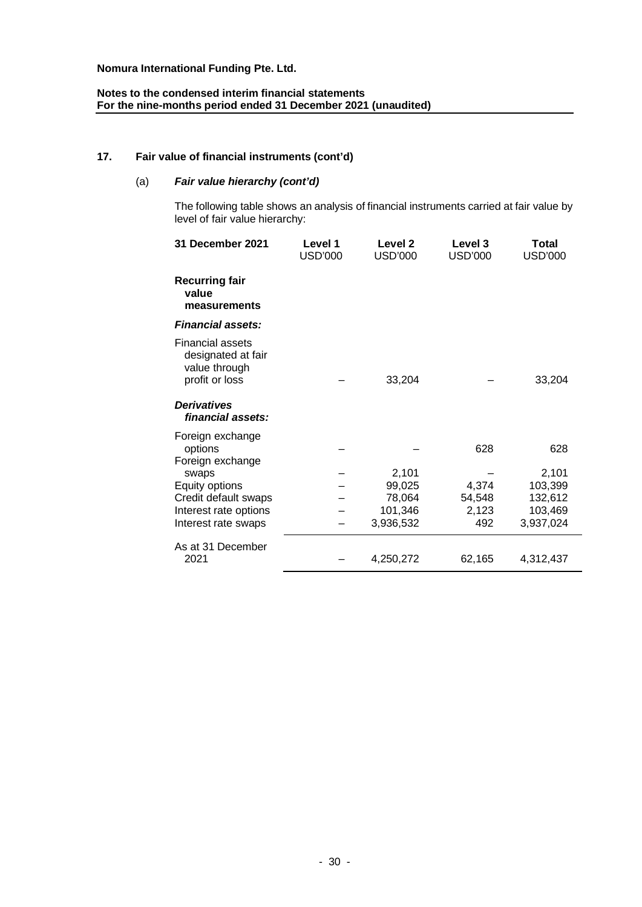# **Notes to the condensed interim financial statements For the nine-months period ended 31 December 2021 (unaudited)**

# **17. Fair value of financial instruments (cont'd)**

# (a) *Fair value hierarchy (cont'd)*

The following table shows an analysis of financial instruments carried at fair value by level of fair value hierarchy:

| 31 December 2021                                                                 | Level 1<br>USD'000 | Level <sub>2</sub><br><b>USD'000</b> | Level 3<br><b>USD'000</b> | <b>Total</b><br><b>USD'000</b> |
|----------------------------------------------------------------------------------|--------------------|--------------------------------------|---------------------------|--------------------------------|
| <b>Recurring fair</b><br>value<br>measurements                                   |                    |                                      |                           |                                |
| <b>Financial assets:</b>                                                         |                    |                                      |                           |                                |
| <b>Financial assets</b><br>designated at fair<br>value through<br>profit or loss |                    | 33,204                               |                           | 33,204                         |
| <b>Derivatives</b><br>financial assets:                                          |                    |                                      |                           |                                |
| Foreign exchange<br>options<br>Foreign exchange<br>swaps                         |                    | 2,101                                | 628                       | 628<br>2,101                   |
| Equity options                                                                   |                    | 99,025                               | 4,374                     | 103,399                        |
| Credit default swaps                                                             |                    | 78,064                               | 54,548                    | 132,612                        |
| Interest rate options                                                            |                    | 101,346                              | 2,123                     | 103,469                        |
| Interest rate swaps                                                              |                    | 3,936,532                            | 492                       | 3,937,024                      |
| As at 31 December<br>2021                                                        |                    | 4,250,272                            | 62,165                    | 4,312,437                      |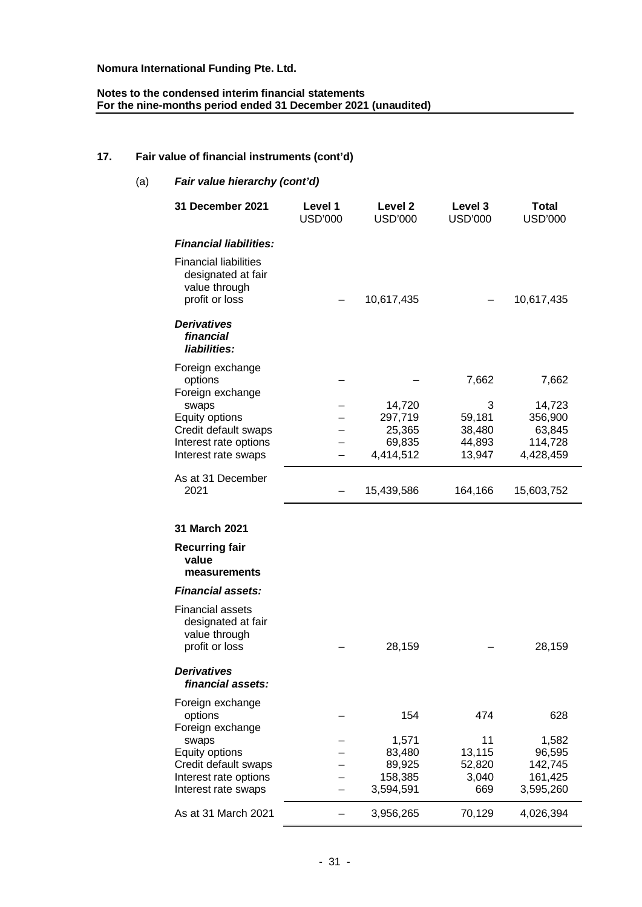### **Notes to the condensed interim financial statements For the nine-months period ended 31 December 2021 (unaudited)**

# **17. Fair value of financial instruments (cont'd)**

| (a)<br>Fair value hierarchy (cont'd) |                                                                                                                                                    |                           |                                                          |                                                    |                                                              |  |
|--------------------------------------|----------------------------------------------------------------------------------------------------------------------------------------------------|---------------------------|----------------------------------------------------------|----------------------------------------------------|--------------------------------------------------------------|--|
|                                      | 31 December 2021                                                                                                                                   | Level 1<br><b>USD'000</b> | Level 2<br><b>USD'000</b>                                | Level 3<br><b>USD'000</b>                          | <b>Total</b><br><b>USD'000</b>                               |  |
|                                      | <b>Financial liabilities:</b>                                                                                                                      |                           |                                                          |                                                    |                                                              |  |
|                                      | <b>Financial liabilities</b><br>designated at fair<br>value through<br>profit or loss                                                              |                           | 10,617,435                                               |                                                    | 10,617,435                                                   |  |
|                                      | <b>Derivatives</b><br>financial<br>liabilities:                                                                                                    |                           |                                                          |                                                    |                                                              |  |
|                                      | Foreign exchange<br>options<br>Foreign exchange<br>swaps<br>Equity options<br>Credit default swaps<br>Interest rate options<br>Interest rate swaps |                           | 14,720<br>297,719<br>25,365<br>69,835<br>4,414,512       | 7,662<br>3<br>59,181<br>38,480<br>44,893<br>13,947 | 7,662<br>14,723<br>356,900<br>63,845<br>114,728<br>4,428,459 |  |
|                                      | As at 31 December<br>2021                                                                                                                          |                           | 15,439,586                                               | 164,166                                            | 15,603,752                                                   |  |
|                                      | 31 March 2021                                                                                                                                      |                           |                                                          |                                                    |                                                              |  |
|                                      | <b>Recurring fair</b><br>value<br>measurements                                                                                                     |                           |                                                          |                                                    |                                                              |  |
|                                      | <b>Financial assets:</b>                                                                                                                           |                           |                                                          |                                                    |                                                              |  |
|                                      | <b>Financial assets</b><br>designated at fair<br>value through<br>profit or loss                                                                   |                           | 28,159                                                   |                                                    | 28,159                                                       |  |
|                                      | <b>Derivatives</b><br>financial assets:                                                                                                            |                           |                                                          |                                                    |                                                              |  |
|                                      | Foreign exchange<br>options<br>Foreign exchange<br>swaps<br>Equity options<br>Credit default swaps<br>Interest rate options<br>Interest rate swaps |                           | 154<br>1,571<br>83,480<br>89,925<br>158,385<br>3,594,591 | 474<br>11<br>13,115<br>52,820<br>3,040<br>669      | 628<br>1,582<br>96,595<br>142,745<br>161,425<br>3,595,260    |  |
|                                      | As at 31 March 2021                                                                                                                                |                           | 3,956,265                                                | 70,129                                             | 4,026,394                                                    |  |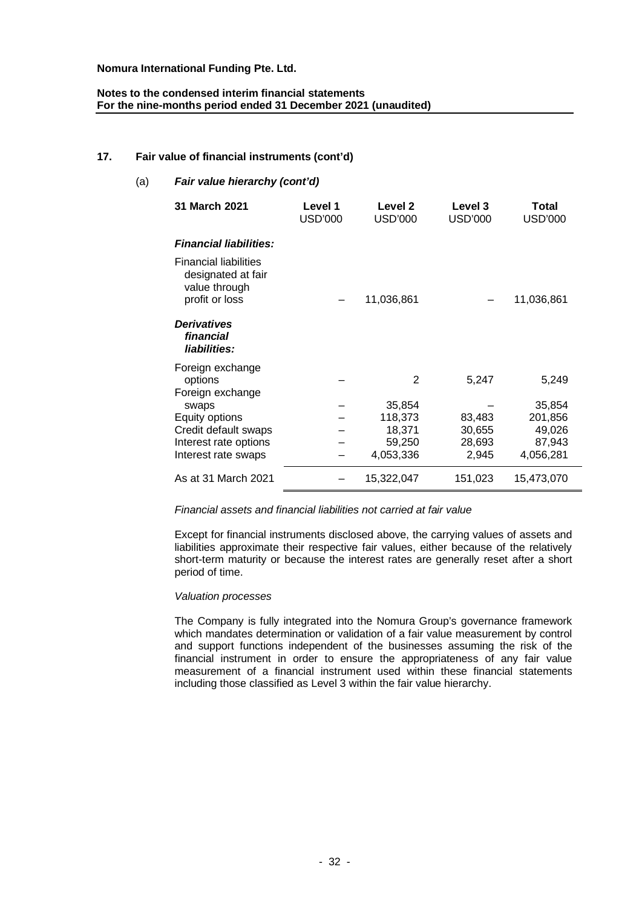# **Notes to the condensed interim financial statements For the nine-months period ended 31 December 2021 (unaudited)**

# **17. Fair value of financial instruments (cont'd)**

| (a) | Fair value hierarchy (cont'd)                                                         |                           |                           |                           |                         |  |  |  |
|-----|---------------------------------------------------------------------------------------|---------------------------|---------------------------|---------------------------|-------------------------|--|--|--|
|     | 31 March 2021                                                                         | Level 1<br><b>USD'000</b> | Level 2<br><b>USD'000</b> | Level 3<br><b>USD'000</b> | Total<br><b>USD'000</b> |  |  |  |
|     | <b>Financial liabilities:</b>                                                         |                           |                           |                           |                         |  |  |  |
|     | <b>Financial liabilities</b><br>designated at fair<br>value through<br>profit or loss |                           | 11,036,861                |                           | 11,036,861              |  |  |  |
|     | <b>Derivatives</b><br>financial<br>liabilities:                                       |                           |                           |                           |                         |  |  |  |
|     | Foreign exchange<br>options<br>Foreign exchange                                       |                           | 2                         | 5,247                     | 5,249                   |  |  |  |
|     | swaps                                                                                 |                           | 35,854                    |                           | 35,854                  |  |  |  |
|     | Equity options                                                                        |                           | 118,373                   | 83,483                    | 201,856                 |  |  |  |
|     | Credit default swaps                                                                  |                           | 18,371                    | 30,655                    | 49,026                  |  |  |  |
|     | Interest rate options                                                                 |                           | 59,250                    | 28,693                    | 87,943                  |  |  |  |
|     | Interest rate swaps                                                                   |                           | 4,053,336                 | 2,945                     | 4,056,281               |  |  |  |
|     | As at 31 March 2021                                                                   |                           | 15,322,047                | 151,023                   | 15,473,070              |  |  |  |

## *Financial assets and financial liabilities not carried at fair value*

Except for financial instruments disclosed above, the carrying values of assets and liabilities approximate their respective fair values, either because of the relatively short-term maturity or because the interest rates are generally reset after a short period of time.

### *Valuation processes*

The Company is fully integrated into the Nomura Group's governance framework which mandates determination or validation of a fair value measurement by control and support functions independent of the businesses assuming the risk of the financial instrument in order to ensure the appropriateness of any fair value measurement of a financial instrument used within these financial statements including those classified as Level 3 within the fair value hierarchy.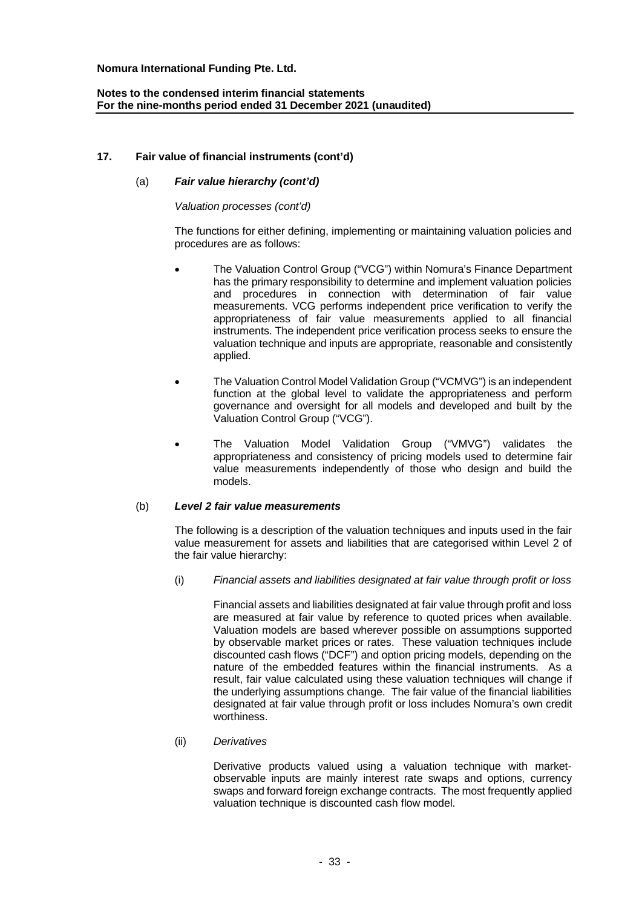# **Notes to the condensed interim financial statements For the nine-months period ended 31 December 2021 (unaudited)**

# **17. Fair value of financial instruments (cont'd)**

## (a) *Fair value hierarchy (cont'd)*

#### *Valuation processes (cont'd)*

The functions for either defining, implementing or maintaining valuation policies and procedures are as follows:

- The Valuation Control Group ("VCG") within Nomura's Finance Department has the primary responsibility to determine and implement valuation policies and procedures in connection with determination of fair value measurements. VCG performs independent price verification to verify the appropriateness of fair value measurements applied to all financial instruments. The independent price verification process seeks to ensure the valuation technique and inputs are appropriate, reasonable and consistently applied.
- The Valuation Control Model Validation Group ("VCMVG") is an independent function at the global level to validate the appropriateness and perform governance and oversight for all models and developed and built by the Valuation Control Group ("VCG").
- The Valuation Model Validation Group ("VMVG") validates the appropriateness and consistency of pricing models used to determine fair value measurements independently of those who design and build the models.

#### (b) *Level 2 fair value measurements*

The following is a description of the valuation techniques and inputs used in the fair value measurement for assets and liabilities that are categorised within Level 2 of the fair value hierarchy:

(i) *Financial assets and liabilities designated at fair value through profit or loss*

Financial assets and liabilities designated at fair value through profit and loss are measured at fair value by reference to quoted prices when available. Valuation models are based wherever possible on assumptions supported by observable market prices or rates. These valuation techniques include discounted cash flows ("DCF") and option pricing models, depending on the nature of the embedded features within the financial instruments. As a result, fair value calculated using these valuation techniques will change if the underlying assumptions change. The fair value of the financial liabilities designated at fair value through profit or loss includes Nomura's own credit worthiness.

#### (ii) *Derivatives*

Derivative products valued using a valuation technique with marketobservable inputs are mainly interest rate swaps and options, currency swaps and forward foreign exchange contracts. The most frequently applied valuation technique is discounted cash flow model.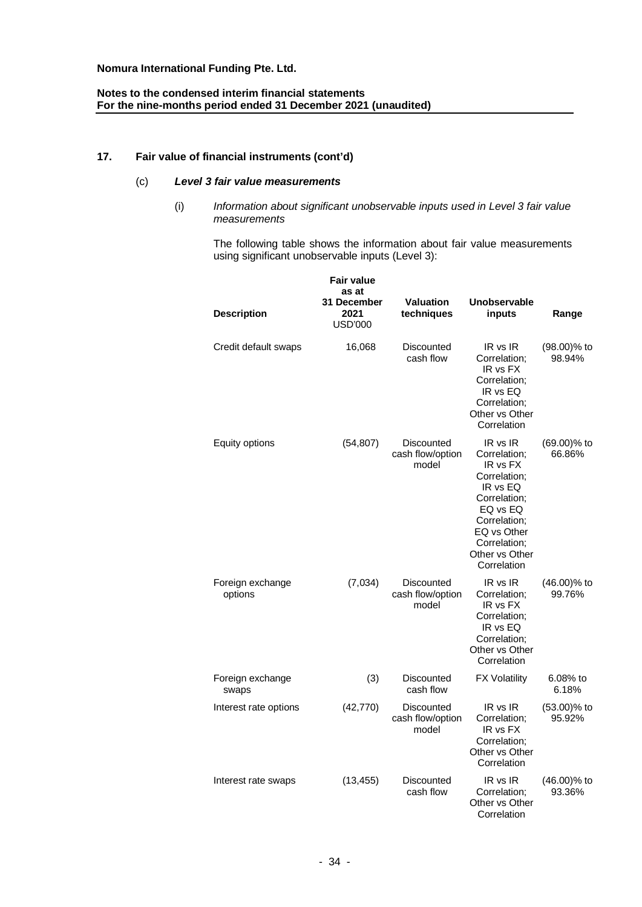# **Notes to the condensed interim financial statements For the nine-months period ended 31 December 2021 (unaudited)**

# **17. Fair value of financial instruments (cont'd)**

# (c) *Level 3 fair value measurements*

(i) *Information about significant unobservable inputs used in Level 3 fair value measurements*

The following table shows the information about fair value measurements using significant unobservable inputs (Level 3):

| <b>Description</b>          | Fair value<br>as at<br>31 December<br>2021<br><b>USD'000</b> | <b>Valuation</b><br>techniques          | <b>Unobservable</b><br>inputs                                                                                                                                                | Range                 |
|-----------------------------|--------------------------------------------------------------|-----------------------------------------|------------------------------------------------------------------------------------------------------------------------------------------------------------------------------|-----------------------|
| Credit default swaps        | 16,068                                                       | Discounted<br>cash flow                 | IR vs IR<br>Correlation;<br>IR vs FX<br>Correlation;<br>IR vs EQ<br>Correlation:<br>Other vs Other<br>Correlation                                                            | (98.00)% to<br>98.94% |
| Equity options              | (54, 807)                                                    | Discounted<br>cash flow/option<br>model | IR vs IR<br>Correlation;<br>IR vs FX<br>Correlation;<br>IR vs EQ<br>Correlation;<br>EQ vs EQ<br>Correlation;<br>EQ vs Other<br>Correlation;<br>Other vs Other<br>Correlation | (69.00)% to<br>66.86% |
| Foreign exchange<br>options | (7,034)                                                      | Discounted<br>cash flow/option<br>model | IR vs IR<br>Correlation;<br>IR vs FX<br>Correlation:<br>IR vs EQ<br>Correlation;<br>Other vs Other<br>Correlation                                                            | (46.00)% to<br>99.76% |
| Foreign exchange<br>swaps   | (3)                                                          | <b>Discounted</b><br>cash flow          | <b>FX Volatility</b>                                                                                                                                                         | 6.08% to<br>6.18%     |
| Interest rate options       | (42, 770)                                                    | Discounted<br>cash flow/option<br>model | IR vs IR<br>Correlation:<br>IR vs FX<br>Correlation;<br>Other vs Other<br>Correlation                                                                                        | (53.00)% to<br>95.92% |
| Interest rate swaps         | (13, 455)                                                    | Discounted<br>cash flow                 | IR vs IR<br>Correlation:<br>Other vs Other<br>Correlation                                                                                                                    | (46.00)% to<br>93.36% |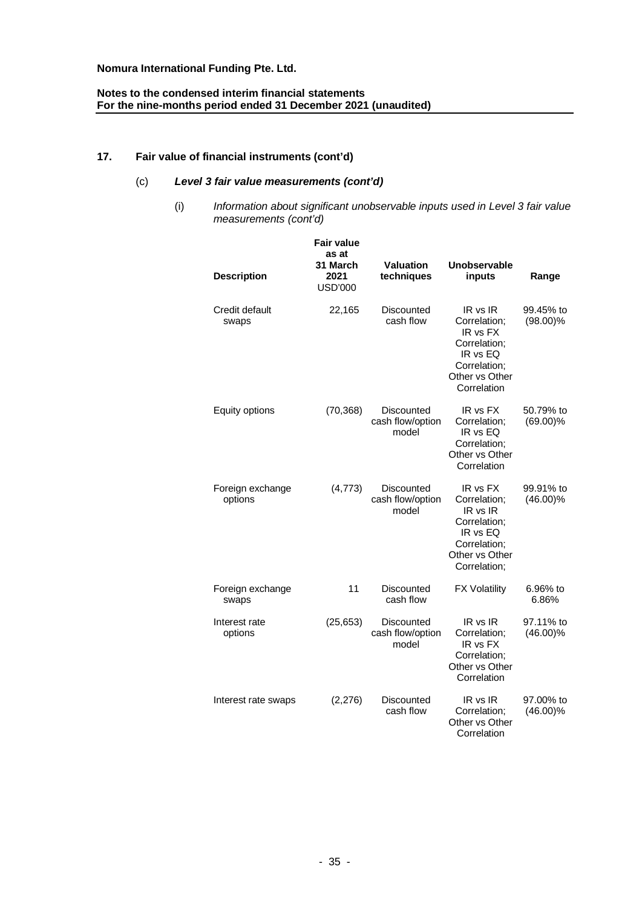# **Notes to the condensed interim financial statements For the nine-months period ended 31 December 2021 (unaudited)**

# **17. Fair value of financial instruments (cont'd)**

# (c) *Level 3 fair value measurements (cont'd)*

(i) *Information about significant unobservable inputs used in Level 3 fair value measurements (cont'd)*

| <b>Description</b>          | <b>Fair value</b><br>as at<br>31 March<br>2021<br><b>USD'000</b> | <b>Valuation</b><br>techniques          | Unobservable<br>inputs                                                                                             | Range                    |
|-----------------------------|------------------------------------------------------------------|-----------------------------------------|--------------------------------------------------------------------------------------------------------------------|--------------------------|
| Credit default<br>swaps     | 22,165                                                           | Discounted<br>cash flow                 | IR vs IR<br>Correlation;<br>IR vs FX<br>Correlation;<br>IR vs EQ<br>Correlation;<br>Other vs Other<br>Correlation  | 99.45% to<br>$(98.00)\%$ |
| Equity options              | (70, 368)                                                        | Discounted<br>cash flow/option<br>model | IR vs FX<br>Correlation;<br>IR vs EQ<br>Correlation:<br>Other vs Other<br>Correlation                              | 50.79% to<br>$(69.00)\%$ |
| Foreign exchange<br>options | (4, 773)                                                         | Discounted<br>cash flow/option<br>model | IR vs FX<br>Correlation;<br>IR vs IR<br>Correlation;<br>IR vs EQ<br>Correlation;<br>Other vs Other<br>Correlation; | 99.91% to<br>$(46.00)\%$ |
| Foreign exchange<br>swaps   | 11                                                               | <b>Discounted</b><br>cash flow          | <b>FX Volatility</b>                                                                                               | 6.96% to<br>6.86%        |
| Interest rate<br>options    | (25, 653)                                                        | Discounted<br>cash flow/option<br>model | IR vs IR<br>Correlation;<br>IR vs FX<br>Correlation;<br>Other vs Other<br>Correlation                              | 97.11% to<br>$(46.00)\%$ |
| Interest rate swaps         | (2,276)                                                          | Discounted<br>cash flow                 | IR vs IR<br>Correlation;<br>Other vs Other<br>Correlation                                                          | 97.00% to<br>$(46.00)\%$ |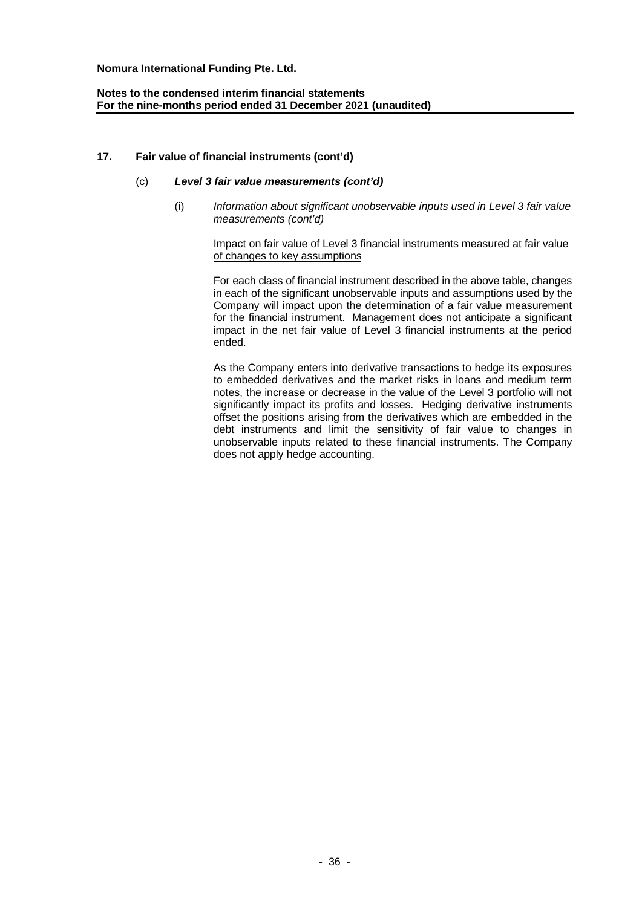# **Notes to the condensed interim financial statements For the nine-months period ended 31 December 2021 (unaudited)**

# **17. Fair value of financial instruments (cont'd)**

# (c) *Level 3 fair value measurements (cont'd)*

(i) *Information about significant unobservable inputs used in Level 3 fair value measurements (cont'd)*

## Impact on fair value of Level 3 financial instruments measured at fair value of changes to key assumptions

For each class of financial instrument described in the above table, changes in each of the significant unobservable inputs and assumptions used by the Company will impact upon the determination of a fair value measurement for the financial instrument. Management does not anticipate a significant impact in the net fair value of Level 3 financial instruments at the period ended.

As the Company enters into derivative transactions to hedge its exposures to embedded derivatives and the market risks in loans and medium term notes, the increase or decrease in the value of the Level 3 portfolio will not significantly impact its profits and losses. Hedging derivative instruments offset the positions arising from the derivatives which are embedded in the debt instruments and limit the sensitivity of fair value to changes in unobservable inputs related to these financial instruments. The Company does not apply hedge accounting.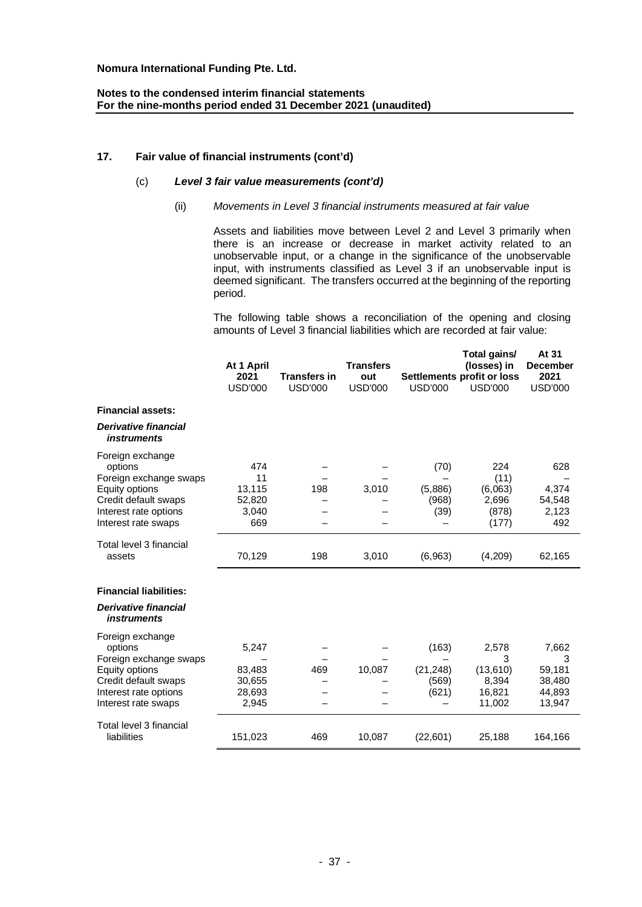# **17. Fair value of financial instruments (cont'd)**

# (c) *Level 3 fair value measurements (cont'd)*

# (ii) *Movements in Level 3 financial instruments measured at fair value*

Assets and liabilities move between Level 2 and Level 3 primarily when there is an increase or decrease in market activity related to an unobservable input, or a change in the significance of the unobservable input, with instruments classified as Level 3 if an unobservable input is deemed significant. The transfers occurred at the beginning of the reporting period.

The following table shows a reconciliation of the opening and closing amounts of Level 3 financial liabilities which are recorded at fair value:

**At 31**

|                                                   |                    |                     | <b>Transfers</b> |                | Total gains/                              | At 31<br><b>December</b> |
|---------------------------------------------------|--------------------|---------------------|------------------|----------------|-------------------------------------------|--------------------------|
|                                                   | At 1 April<br>2021 | <b>Transfers in</b> | out              |                | (losses) in<br>Settlements profit or loss | 2021                     |
|                                                   | <b>USD'000</b>     | <b>USD'000</b>      | <b>USD'000</b>   | <b>USD'000</b> | <b>USD'000</b>                            | <b>USD'000</b>           |
| <b>Financial assets:</b>                          |                    |                     |                  |                |                                           |                          |
| <b>Derivative financial</b><br><i>instruments</i> |                    |                     |                  |                |                                           |                          |
| Foreign exchange                                  | 474                |                     |                  |                | 224                                       | 628                      |
| options<br>Foreign exchange swaps                 | 11                 |                     |                  | (70)           | (11)                                      |                          |
| Equity options                                    | 13,115             | 198                 | 3,010            | (5,886)        | (6,063)                                   | 4,374                    |
| Credit default swaps                              | 52,820             |                     |                  | (968)          | 2,696                                     | 54,548                   |
| Interest rate options                             | 3,040              |                     |                  | (39)           | (878)                                     | 2,123                    |
| Interest rate swaps                               | 669                |                     |                  |                | (177)                                     | 492                      |
| Total level 3 financial                           |                    |                     |                  |                |                                           |                          |
| assets                                            | 70,129             | 198                 | 3,010            | (6,963)        | (4,209)                                   | 62,165                   |
| <b>Financial liabilities:</b>                     |                    |                     |                  |                |                                           |                          |
|                                                   |                    |                     |                  |                |                                           |                          |
| <b>Derivative financial</b><br><i>instruments</i> |                    |                     |                  |                |                                           |                          |
| Foreign exchange                                  |                    |                     |                  |                |                                           |                          |
| options                                           | 5,247              |                     |                  | (163)          | 2,578                                     | 7,662                    |
| Foreign exchange swaps<br>Equity options          | 83,483             | 469                 | 10,087           | (21, 248)      | 3<br>(13,610)                             | 3<br>59,181              |
| Credit default swaps                              | 30,655             |                     |                  | (569)          | 8,394                                     | 38,480                   |
| Interest rate options                             | 28,693             |                     |                  | (621)          | 16,821                                    | 44,893                   |
| Interest rate swaps                               | 2,945              |                     |                  |                | 11,002                                    | 13,947                   |
| Total level 3 financial                           |                    |                     |                  |                |                                           |                          |
| liabilities                                       | 151,023            | 469                 | 10,087           | (22,601)       | 25,188                                    | 164,166                  |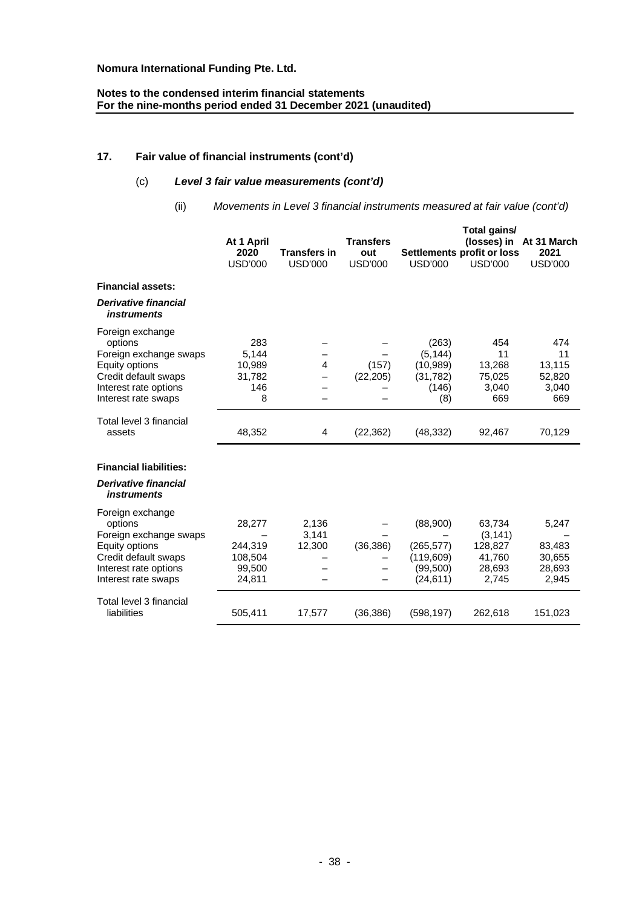# **Notes to the condensed interim financial statements For the nine-months period ended 31 December 2021 (unaudited)**

# **17. Fair value of financial instruments (cont'd)**

# (c) *Level 3 fair value measurements (cont'd)*

(ii) *Movements in Level 3 financial instruments measured at fair value (cont'd)*

|                                                                                                                                                 | At 1 April<br>2020<br><b>USD'000</b>             | <b>Transfers in</b><br><b>USD'000</b> | <b>Transfers</b><br>out<br><b>USD'000</b> | <b>USD'000</b>                                                 | Total gains/<br>Settlements profit or loss<br><b>USD'000</b> | (losses) in At 31 March<br>2021<br><b>USD'000</b> |
|-------------------------------------------------------------------------------------------------------------------------------------------------|--------------------------------------------------|---------------------------------------|-------------------------------------------|----------------------------------------------------------------|--------------------------------------------------------------|---------------------------------------------------|
| <b>Financial assets:</b>                                                                                                                        |                                                  |                                       |                                           |                                                                |                                                              |                                                   |
| <b>Derivative financial</b><br><i>instruments</i>                                                                                               |                                                  |                                       |                                           |                                                                |                                                              |                                                   |
| Foreign exchange<br>options<br>Foreign exchange swaps<br>Equity options<br>Credit default swaps<br>Interest rate options<br>Interest rate swaps | 283<br>5,144<br>10,989<br>31,782<br>146<br>8     | $\overline{4}$                        | (157)<br>(22, 205)                        | (263)<br>(5, 144)<br>(10, 989)<br>(31, 782)<br>(146)<br>(8)    | 454<br>11<br>13,268<br>75,025<br>3,040<br>669                | 474<br>11<br>13,115<br>52,820<br>3,040<br>669     |
| Total level 3 financial<br>assets                                                                                                               | 48,352                                           | 4                                     | (22, 362)                                 | (48, 332)                                                      | 92,467                                                       | 70,129                                            |
| <b>Financial liabilities:</b>                                                                                                                   |                                                  |                                       |                                           |                                                                |                                                              |                                                   |
| <b>Derivative financial</b><br><i>instruments</i>                                                                                               |                                                  |                                       |                                           |                                                                |                                                              |                                                   |
| Foreign exchange<br>options<br>Foreign exchange swaps<br>Equity options<br>Credit default swaps<br>Interest rate options<br>Interest rate swaps | 28,277<br>244,319<br>108,504<br>99,500<br>24,811 | 2,136<br>3,141<br>12,300              | (36, 386)                                 | (88,900)<br>(265, 577)<br>(119, 609)<br>(99, 500)<br>(24, 611) | 63,734<br>(3, 141)<br>128,827<br>41,760<br>28,693<br>2,745   | 5,247<br>83,483<br>30,655<br>28,693<br>2,945      |
| Total level 3 financial<br>liabilities                                                                                                          | 505,411                                          | 17,577                                | (36, 386)                                 | (598, 197)                                                     | 262,618                                                      | 151,023                                           |